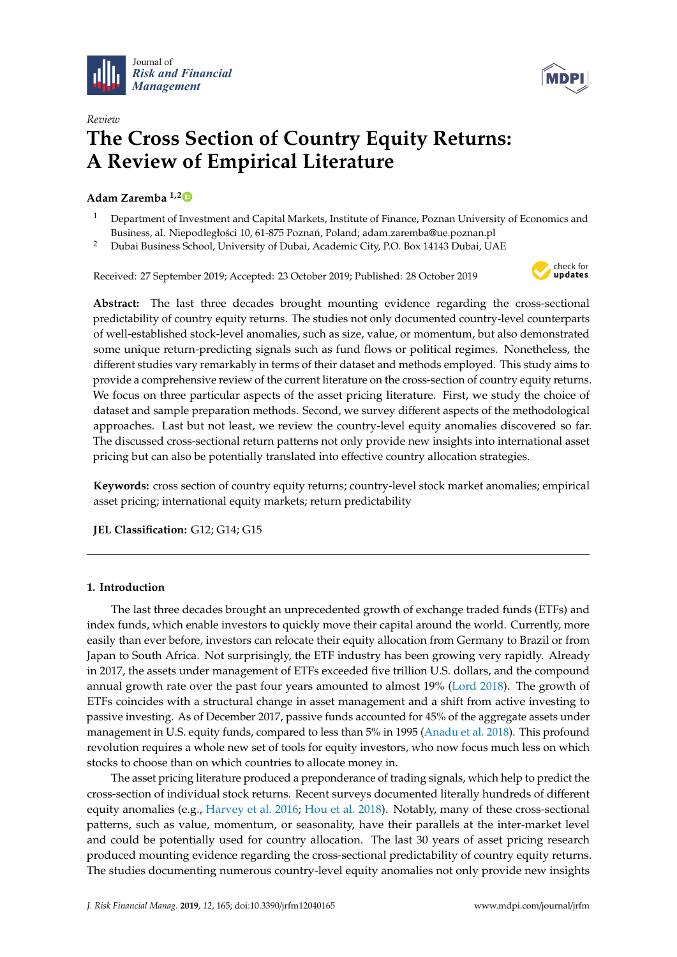



# *Review* **The Cross Section of Country Equity Returns: A Review of Empirical Literature**

# **Adam Zaremba 1,[2](https://orcid.org/0000-0001-5879-9431)**

- <sup>1</sup> Department of Investment and Capital Markets, Institute of Finance, Poznan University of Economics and Business, al. Niepodległości 10, 61-875 Poznań, Poland; adam.zaremba@ue.poznan.pl
- <sup>2</sup> Dubai Business School, University of Dubai, Academic City, P.O. Box 14143 Dubai, UAE

Received: 27 September 2019; Accepted: 23 October 2019; Published: 28 October 2019



**Abstract:** The last three decades brought mounting evidence regarding the cross-sectional predictability of country equity returns. The studies not only documented country-level counterparts of well-established stock-level anomalies, such as size, value, or momentum, but also demonstrated some unique return-predicting signals such as fund flows or political regimes. Nonetheless, the different studies vary remarkably in terms of their dataset and methods employed. This study aims to provide a comprehensive review of the current literature on the cross-section of country equity returns. We focus on three particular aspects of the asset pricing literature. First, we study the choice of dataset and sample preparation methods. Second, we survey different aspects of the methodological approaches. Last but not least, we review the country-level equity anomalies discovered so far. The discussed cross-sectional return patterns not only provide new insights into international asset pricing but can also be potentially translated into effective country allocation strategies.

**Keywords:** cross section of country equity returns; country-level stock market anomalies; empirical asset pricing; international equity markets; return predictability

**JEL Classification:** G12; G14; G15

# **1. Introduction**

The last three decades brought an unprecedented growth of exchange traded funds (ETFs) and index funds, which enable investors to quickly move their capital around the world. Currently, more easily than ever before, investors can relocate their equity allocation from Germany to Brazil or from Japan to South Africa. Not surprisingly, the ETF industry has been growing very rapidly. Already in 2017, the assets under management of ETFs exceeded five trillion U.S. dollars, and the compound annual growth rate over the past four years amounted to almost 19% [\(Lord](#page-23-0) [2018\)](#page-23-0). The growth of ETFs coincides with a structural change in asset management and a shift from active investing to passive investing. As of December 2017, passive funds accounted for 45% of the aggregate assets under management in U.S. equity funds, compared to less than 5% in 1995 [\(Anadu et al.](#page-17-0) [2018\)](#page-17-0). This profound revolution requires a whole new set of tools for equity investors, who now focus much less on which stocks to choose than on which countries to allocate money in.

The asset pricing literature produced a preponderance of trading signals, which help to predict the cross-section of individual stock returns. Recent surveys documented literally hundreds of different equity anomalies (e.g., [Harvey et al.](#page-21-0) [2016;](#page-21-0) [Hou et al.](#page-21-1) [2018\)](#page-21-1). Notably, many of these cross-sectional patterns, such as value, momentum, or seasonality, have their parallels at the inter-market level and could be potentially used for country allocation. The last 30 years of asset pricing research produced mounting evidence regarding the cross-sectional predictability of country equity returns. The studies documenting numerous country-level equity anomalies not only provide new insights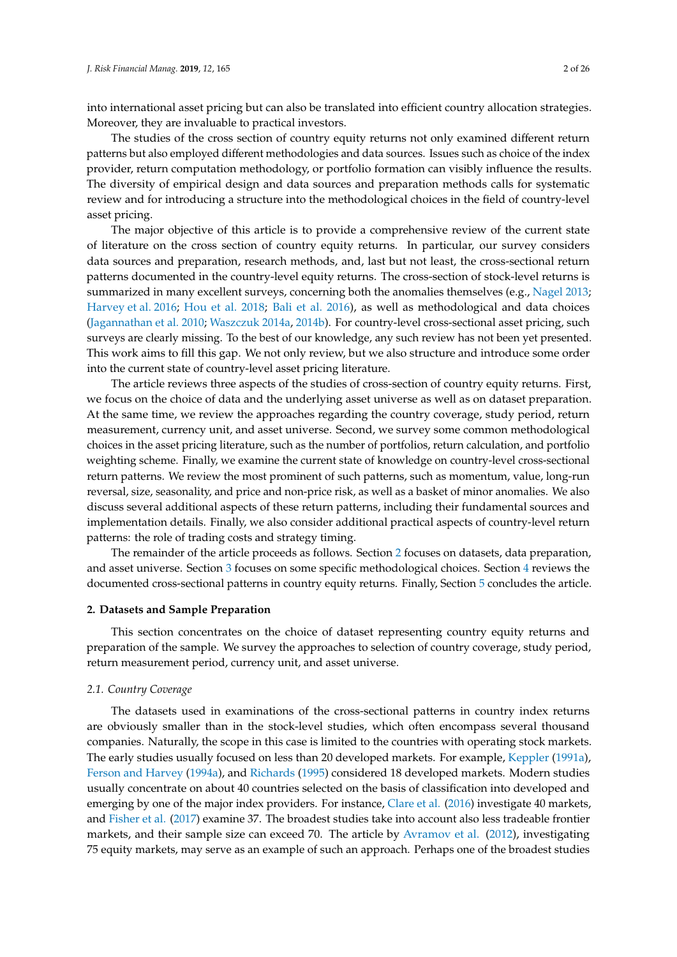into international asset pricing but can also be translated into efficient country allocation strategies. Moreover, they are invaluable to practical investors.

The studies of the cross section of country equity returns not only examined different return patterns but also employed different methodologies and data sources. Issues such as choice of the index provider, return computation methodology, or portfolio formation can visibly influence the results. The diversity of empirical design and data sources and preparation methods calls for systematic review and for introducing a structure into the methodological choices in the field of country-level asset pricing.

The major objective of this article is to provide a comprehensive review of the current state of literature on the cross section of country equity returns. In particular, our survey considers data sources and preparation, research methods, and, last but not least, the cross-sectional return patterns documented in the country-level equity returns. The cross-section of stock-level returns is summarized in many excellent surveys, concerning both the anomalies themselves (e.g., [Nagel](#page-23-1) [2013;](#page-23-1) [Harvey et al.](#page-21-0) [2016;](#page-21-0) [Hou et al.](#page-21-1) [2018;](#page-21-1) [Bali et al.](#page-18-0) [2016\)](#page-18-0), as well as methodological and data choices [\(Jagannathan et al.](#page-22-0) [2010;](#page-22-0) [Waszczuk](#page-25-0) [2014a,](#page-25-0) [2014b\)](#page-25-1). For country-level cross-sectional asset pricing, such surveys are clearly missing. To the best of our knowledge, any such review has not been yet presented. This work aims to fill this gap. We not only review, but we also structure and introduce some order into the current state of country-level asset pricing literature.

The article reviews three aspects of the studies of cross-section of country equity returns. First, we focus on the choice of data and the underlying asset universe as well as on dataset preparation. At the same time, we review the approaches regarding the country coverage, study period, return measurement, currency unit, and asset universe. Second, we survey some common methodological choices in the asset pricing literature, such as the number of portfolios, return calculation, and portfolio weighting scheme. Finally, we examine the current state of knowledge on country-level cross-sectional return patterns. We review the most prominent of such patterns, such as momentum, value, long-run reversal, size, seasonality, and price and non-price risk, as well as a basket of minor anomalies. We also discuss several additional aspects of these return patterns, including their fundamental sources and implementation details. Finally, we also consider additional practical aspects of country-level return patterns: the role of trading costs and strategy timing.

The remainder of the article proceeds as follows. Section [2](#page-1-0) focuses on datasets, data preparation, and asset universe. Section [3](#page-5-0) focuses on some specific methodological choices. Section [4](#page-7-0) reviews the documented cross-sectional patterns in country equity returns. Finally, Section [5](#page-16-0) concludes the article.

#### <span id="page-1-0"></span>**2. Datasets and Sample Preparation**

This section concentrates on the choice of dataset representing country equity returns and preparation of the sample. We survey the approaches to selection of country coverage, study period, return measurement period, currency unit, and asset universe.

# *2.1. Country Coverage*

The datasets used in examinations of the cross-sectional patterns in country index returns are obviously smaller than in the stock-level studies, which often encompass several thousand companies. Naturally, the scope in this case is limited to the countries with operating stock markets. The early studies usually focused on less than 20 developed markets. For example, [Keppler](#page-22-1) [\(1991a\)](#page-22-1), [Ferson and Harvey](#page-20-0) [\(1994a\)](#page-20-0), and [Richards](#page-24-0) [\(1995\)](#page-24-0) considered 18 developed markets. Modern studies usually concentrate on about 40 countries selected on the basis of classification into developed and emerging by one of the major index providers. For instance, [Clare et al.](#page-19-0) [\(2016\)](#page-19-0) investigate 40 markets, and [Fisher et al.](#page-21-2) [\(2017\)](#page-21-2) examine 37. The broadest studies take into account also less tradeable frontier markets, and their sample size can exceed 70. The article by [Avramov et al.](#page-17-1) [\(2012\)](#page-17-1), investigating 75 equity markets, may serve as an example of such an approach. Perhaps one of the broadest studies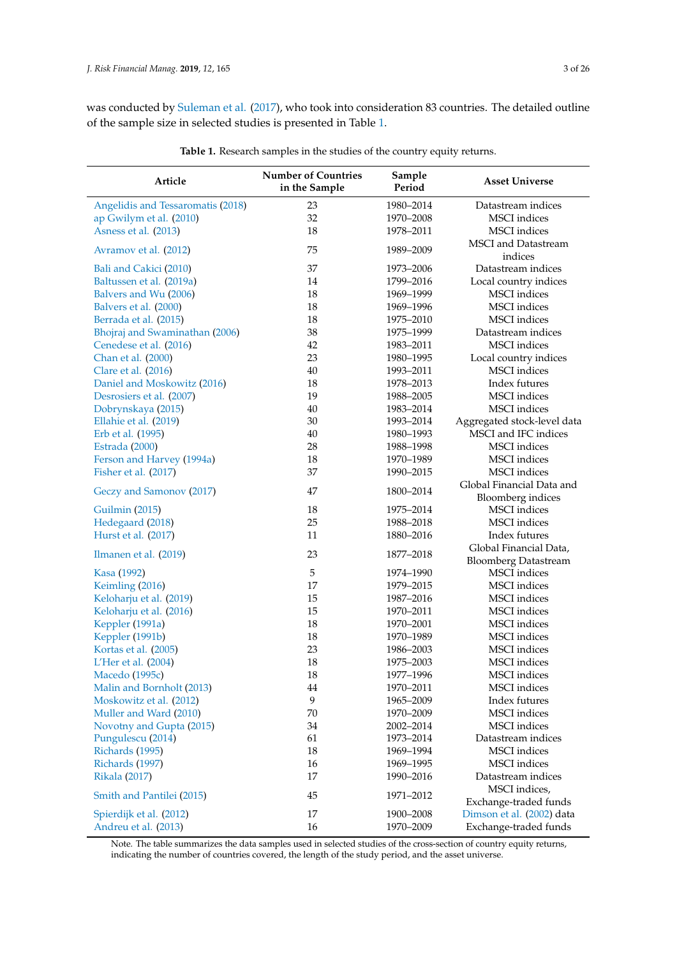was conducted by [Suleman et al.](#page-24-1) [\(2017\)](#page-24-1), who took into consideration 83 countries. The detailed outline of the sample size in selected studies is presented in Table [1.](#page-2-0)

<span id="page-2-0"></span>

| Article                           | <b>Number of Countries</b><br>in the Sample | Sample<br>Period | <b>Asset Universe</b>                                 |
|-----------------------------------|---------------------------------------------|------------------|-------------------------------------------------------|
| Angelidis and Tessaromatis (2018) | 23                                          | 1980-2014        | Datastream indices                                    |
| ap Gwilym et al. (2010)           | 32                                          | 1970-2008        | <b>MSCI</b> indices                                   |
| Asness et al. (2013)              | 18                                          | 1978-2011        | <b>MSCI</b> indices                                   |
| Avramov et al. (2012)             | 75                                          | 1989-2009        | <b>MSCI</b> and Datastream<br>indices                 |
| Bali and Cakici (2010)            | 37                                          | 1973-2006        | Datastream indices                                    |
| Baltussen et al. (2019a)          | 14                                          | 1799-2016        | Local country indices                                 |
| Balvers and Wu (2006)             | 18                                          | 1969-1999        | <b>MSCI</b> indices                                   |
| Balvers et al. (2000)             | 18                                          | 1969-1996        | <b>MSCI</b> indices                                   |
| Berrada et al. (2015)             | 18                                          | 1975-2010        | <b>MSCI</b> indices                                   |
| Bhojraj and Swaminathan (2006)    | 38                                          | 1975-1999        | Datastream indices                                    |
| Cenedese et al. (2016)            | 42                                          | 1983-2011        | <b>MSCI</b> indices                                   |
| Chan et al. (2000)                | 23                                          | 1980-1995        | Local country indices                                 |
| Clare et al. (2016)               | 40                                          | 1993-2011        | <b>MSCI</b> indices                                   |
| Daniel and Moskowitz (2016)       | 18                                          | 1978-2013        | Index futures                                         |
| Desrosiers et al. (2007)          | 19                                          | 1988-2005        | <b>MSCI</b> indices                                   |
| Dobrynskaya (2015)                | 40                                          | 1983-2014        | <b>MSCI</b> indices                                   |
| Ellahie et al. (2019)             | 30                                          | 1993-2014        | Aggregated stock-level data                           |
| Erb et al. (1995)                 | 40                                          | 1980-1993        | MSCI and IFC indices                                  |
| Estrada (2000)                    | 28                                          | 1988-1998        | <b>MSCI</b> indices                                   |
| Ferson and Harvey (1994a)         | 18                                          | 1970-1989        | <b>MSCI</b> indices                                   |
| Fisher et al. (2017)              | 37                                          | 1990-2015        | <b>MSCI</b> indices                                   |
|                                   |                                             |                  | Global Financial Data and                             |
| Geczy and Samonov (2017)          | 47                                          | 1800-2014        | Bloomberg indices                                     |
| <b>Guilmin</b> (2015)             | 18                                          | 1975-2014        | <b>MSCI</b> indices                                   |
| Hedegaard (2018)                  | 25                                          | 1988-2018        | <b>MSCI</b> indices                                   |
| Hurst et al. (2017)               | 11                                          | 1880-2016        | Index futures                                         |
| Ilmanen et al. (2019)             | 23                                          | 1877-2018        | Global Financial Data,<br><b>Bloomberg Datastream</b> |
| Kasa (1992)                       | $\mathbf 5$                                 | 1974-1990        | <b>MSCI</b> indices                                   |
| Keimling (2016)                   | 17                                          | 1979-2015        | <b>MSCI</b> indices                                   |
| Keloharju et al. (2019)           | 15                                          | 1987-2016        | <b>MSCI</b> indices                                   |
| Keloharju et al. (2016)           | 15                                          | 1970-2011        | <b>MSCI</b> indices                                   |
| Keppler (1991a)                   | 18                                          | 1970-2001        | <b>MSCI</b> indices                                   |
| Keppler (1991b)                   | 18                                          | 1970-1989        | <b>MSCI</b> indices                                   |
| Kortas et al. (2005)              | 23                                          | 1986-2003        | <b>MSCI</b> indices                                   |
| L'Her et al. $(2004)$             | 18                                          | 1975-2003        | <b>MSCI</b> indices                                   |
| Macedo (1995c)                    | 18                                          | 1977–1996        | MSCI indices                                          |
| Malin and Bornholt (2013)         | 44                                          | 1970-2011        | MSCI indices                                          |
| Moskowitz et al. (2012)           | 9                                           | 1965-2009        | Index futures                                         |
| Muller and Ward (2010)            | 70                                          | 1970-2009        | <b>MSCI</b> indices                                   |
| Novotny and Gupta (2015)          | 34                                          | 2002-2014        | <b>MSCI</b> indices                                   |
| Pungulescu (2014)                 | 61                                          | 1973-2014        | Datastream indices                                    |
| Richards (1995)                   | 18                                          | 1969-1994        | <b>MSCI</b> indices                                   |
| Richards (1997)                   | 16                                          | 1969-1995        | <b>MSCI</b> indices                                   |
| <b>Rikala (2017)</b>              | 17                                          | 1990-2016        | Datastream indices                                    |
| Smith and Pantilei (2015)         | 45                                          | 1971-2012        | MSCI indices,<br>Exchange-traded funds                |
| Spierdijk et al. (2012)           | 17                                          | 1900-2008        | Dimson et al. (2002) data                             |
| Andreu et al. (2013)              | 16                                          | 1970-2009        | Exchange-traded funds                                 |

**Table 1.** Research samples in the studies of the country equity returns.

Note. The table summarizes the data samples used in selected studies of the cross-section of country equity returns, indicating the number of countries covered, the length of the study period, and the asset universe.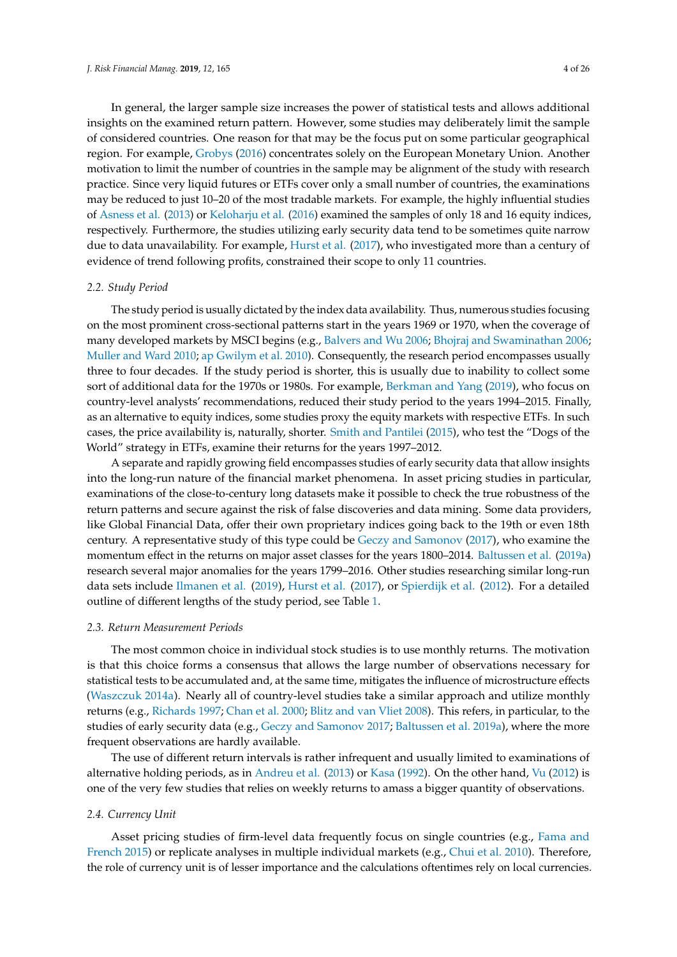In general, the larger sample size increases the power of statistical tests and allows additional insights on the examined return pattern. However, some studies may deliberately limit the sample of considered countries. One reason for that may be the focus put on some particular geographical region. For example, [Grobys](#page-21-6) [\(2016\)](#page-21-6) concentrates solely on the European Monetary Union. Another motivation to limit the number of countries in the sample may be alignment of the study with research practice. Since very liquid futures or ETFs cover only a small number of countries, the examinations may be reduced to just 10–20 of the most tradable markets. For example, the highly influential studies of [Asness et al.](#page-17-4) [\(2013\)](#page-17-4) or [Keloharju et al.](#page-22-7) [\(2016\)](#page-22-7) examined the samples of only 18 and 16 equity indices, respectively. Furthermore, the studies utilizing early security data tend to be sometimes quite narrow due to data unavailability. For example, [Hurst et al.](#page-22-2) [\(2017\)](#page-22-2), who investigated more than a century of evidence of trend following profits, constrained their scope to only 11 countries.

# *2.2. Study Period*

The study period is usually dictated by the index data availability. Thus, numerous studies focusing on the most prominent cross-sectional patterns start in the years 1969 or 1970, when the coverage of many developed markets by MSCI begins (e.g., [Balvers and Wu](#page-18-3) [2006;](#page-18-3) [Bhojraj and Swaminathan](#page-18-6) [2006;](#page-18-6) [Muller and Ward](#page-23-5) [2010;](#page-23-5) [ap Gwilym et al.](#page-17-3) [2010\)](#page-17-3). Consequently, the research period encompasses usually three to four decades. If the study period is shorter, this is usually due to inability to collect some sort of additional data for the 1970s or 1980s. For example, [Berkman and Yang](#page-18-7) [\(2019\)](#page-18-7), who focus on country-level analysts' recommendations, reduced their study period to the years 1994–2015. Finally, as an alternative to equity indices, some studies proxy the equity markets with respective ETFs. In such cases, the price availability is, naturally, shorter. [Smith and Pantilei](#page-24-5) [\(2015\)](#page-24-5), who test the "Dogs of the World" strategy in ETFs, examine their returns for the years 1997–2012.

A separate and rapidly growing field encompasses studies of early security data that allow insights into the long-run nature of the financial market phenomena. In asset pricing studies in particular, examinations of the close-to-century long datasets make it possible to check the true robustness of the return patterns and secure against the risk of false discoveries and data mining. Some data providers, like Global Financial Data, offer their own proprietary indices going back to the 19th or even 18th century. A representative study of this type could be [Geczy and Samonov](#page-21-3) [\(2017\)](#page-21-3), who examine the momentum effect in the returns on major asset classes for the years 1800–2014. [Baltussen et al.](#page-18-2) [\(2019a\)](#page-18-2) research several major anomalies for the years 1799–2016. Other studies researching similar long-run data sets include [Ilmanen et al.](#page-22-3) [\(2019\)](#page-22-3), [Hurst et al.](#page-22-2) [\(2017\)](#page-22-2), or [Spierdijk et al.](#page-24-6) [\(2012\)](#page-24-6). For a detailed outline of different lengths of the study period, see Table [1.](#page-2-0)

## *2.3. Return Measurement Periods*

The most common choice in individual stock studies is to use monthly returns. The motivation is that this choice forms a consensus that allows the large number of observations necessary for statistical tests to be accumulated and, at the same time, mitigates the influence of microstructure effects [\(Waszczuk](#page-25-0) [2014a\)](#page-25-0). Nearly all of country-level studies take a similar approach and utilize monthly returns (e.g., [Richards](#page-24-3) [1997;](#page-24-3) [Chan et al.](#page-19-2) [2000;](#page-19-2) [Blitz and van Vliet](#page-18-8) [2008\)](#page-18-8). This refers, in particular, to the studies of early security data (e.g., [Geczy and Samonov](#page-21-3) [2017;](#page-21-3) [Baltussen et al.](#page-18-2) [2019a\)](#page-18-2), where the more frequent observations are hardly available.

The use of different return intervals is rather infrequent and usually limited to examinations of alternative holding periods, as in [Andreu et al.](#page-17-5) [\(2013\)](#page-17-5) or [Kasa](#page-22-4) [\(1992\)](#page-22-4). On the other hand, [Vu](#page-24-7) [\(2012\)](#page-24-7) is one of the very few studies that relies on weekly returns to amass a bigger quantity of observations.

#### *2.4. Currency Unit*

Asset pricing studies of firm-level data frequently focus on single countries (e.g., [Fama and](#page-20-8) [French](#page-20-8) [2015\)](#page-20-8) or replicate analyses in multiple individual markets (e.g., [Chui et al.](#page-19-3) [2010\)](#page-19-3). Therefore, the role of currency unit is of lesser importance and the calculations oftentimes rely on local currencies.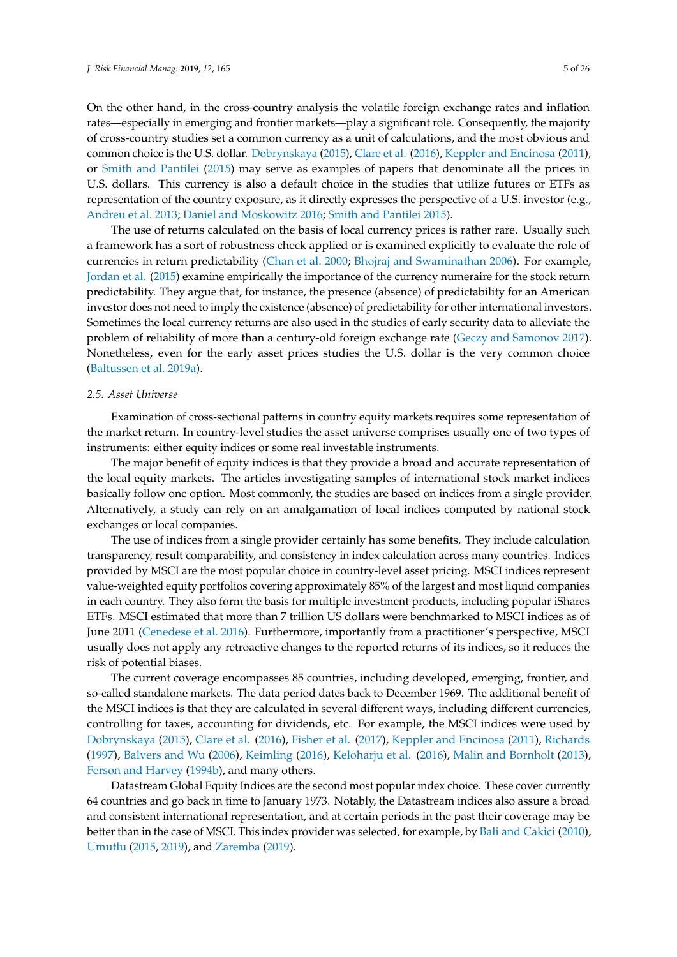On the other hand, in the cross-country analysis the volatile foreign exchange rates and inflation rates—especially in emerging and frontier markets—play a significant role. Consequently, the majority of cross-country studies set a common currency as a unit of calculations, and the most obvious and common choice is the U.S. dollar. [Dobrynskaya](#page-20-3) [\(2015\)](#page-20-3), [Clare et al.](#page-19-0) [\(2016\)](#page-19-0), [Keppler and Encinosa](#page-22-11) [\(2011\)](#page-22-11), or [Smith and Pantilei](#page-24-5) [\(2015\)](#page-24-5) may serve as examples of papers that denominate all the prices in U.S. dollars. This currency is also a default choice in the studies that utilize futures or ETFs as representation of the country exposure, as it directly expresses the perspective of a U.S. investor (e.g., [Andreu et al.](#page-17-5) [2013;](#page-17-5) [Daniel and Moskowitz](#page-20-1) [2016;](#page-20-1) [Smith and Pantilei](#page-24-5) [2015\)](#page-24-5).

The use of returns calculated on the basis of local currency prices is rather rare. Usually such a framework has a sort of robustness check applied or is examined explicitly to evaluate the role of currencies in return predictability [\(Chan et al.](#page-19-2) [2000;](#page-19-2) [Bhojraj and Swaminathan](#page-18-6) [2006\)](#page-18-6). For example, [Jordan et al.](#page-22-12) [\(2015\)](#page-22-12) examine empirically the importance of the currency numeraire for the stock return predictability. They argue that, for instance, the presence (absence) of predictability for an American investor does not need to imply the existence (absence) of predictability for other international investors. Sometimes the local currency returns are also used in the studies of early security data to alleviate the problem of reliability of more than a century-old foreign exchange rate [\(Geczy and Samonov](#page-21-3) [2017\)](#page-21-3). Nonetheless, even for the early asset prices studies the U.S. dollar is the very common choice [\(Baltussen et al.](#page-18-2) [2019a\)](#page-18-2).

# *2.5. Asset Universe*

Examination of cross-sectional patterns in country equity markets requires some representation of the market return. In country-level studies the asset universe comprises usually one of two types of instruments: either equity indices or some real investable instruments.

The major benefit of equity indices is that they provide a broad and accurate representation of the local equity markets. The articles investigating samples of international stock market indices basically follow one option. Most commonly, the studies are based on indices from a single provider. Alternatively, a study can rely on an amalgamation of local indices computed by national stock exchanges or local companies.

The use of indices from a single provider certainly has some benefits. They include calculation transparency, result comparability, and consistency in index calculation across many countries. Indices provided by MSCI are the most popular choice in country-level asset pricing. MSCI indices represent value-weighted equity portfolios covering approximately 85% of the largest and most liquid companies in each country. They also form the basis for multiple investment products, including popular iShares ETFs. MSCI estimated that more than 7 trillion US dollars were benchmarked to MSCI indices as of June 2011 [\(Cenedese et al.](#page-19-1) [2016\)](#page-19-1). Furthermore, importantly from a practitioner's perspective, MSCI usually does not apply any retroactive changes to the reported returns of its indices, so it reduces the risk of potential biases.

The current coverage encompasses 85 countries, including developed, emerging, frontier, and so-called standalone markets. The data period dates back to December 1969. The additional benefit of the MSCI indices is that they are calculated in several different ways, including different currencies, controlling for taxes, accounting for dividends, etc. For example, the MSCI indices were used by [Dobrynskaya](#page-20-3) [\(2015\)](#page-20-3), [Clare et al.](#page-19-0) [\(2016\)](#page-19-0), [Fisher et al.](#page-21-2) [\(2017\)](#page-21-2), [Keppler and Encinosa](#page-22-11) [\(2011\)](#page-22-11), [Richards](#page-24-3) [\(1997\)](#page-24-3), [Balvers and Wu](#page-18-3) [\(2006\)](#page-18-3), [Keimling](#page-22-5) [\(2016\)](#page-22-5), [Keloharju et al.](#page-22-7) [\(2016\)](#page-22-7), [Malin and Bornholt](#page-23-3) [\(2013\)](#page-23-3), [Ferson and Harvey](#page-20-9) [\(1994b\)](#page-20-9), and many others.

Datastream Global Equity Indices are the second most popular index choice. These cover currently 64 countries and go back in time to January 1973. Notably, the Datastream indices also assure a broad and consistent international representation, and at certain periods in the past their coverage may be better than in the case of MSCI. This index provider was selected, for example, by [Bali and Cakici](#page-18-1) [\(2010\)](#page-18-1), [Umutlu](#page-24-8) [\(2015,](#page-24-8) [2019\)](#page-24-9), and [Zaremba](#page-25-2) [\(2019\)](#page-25-2).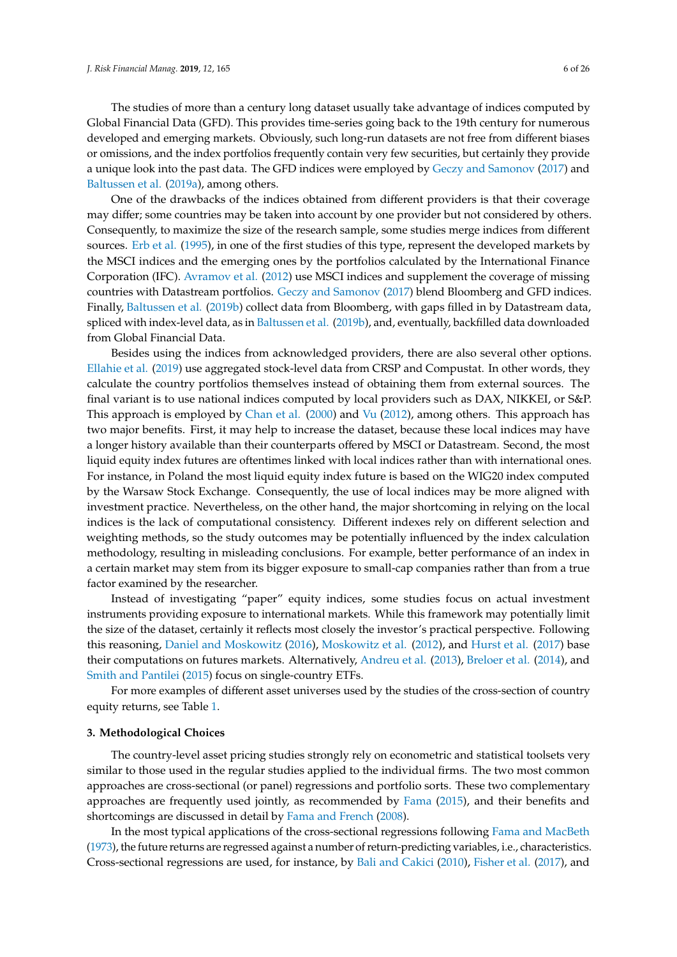The studies of more than a century long dataset usually take advantage of indices computed by Global Financial Data (GFD). This provides time-series going back to the 19th century for numerous developed and emerging markets. Obviously, such long-run datasets are not free from different biases or omissions, and the index portfolios frequently contain very few securities, but certainly they provide a unique look into the past data. The GFD indices were employed by [Geczy and Samonov](#page-21-3) [\(2017\)](#page-21-3) and [Baltussen et al.](#page-18-2) [\(2019a\)](#page-18-2), among others.

One of the drawbacks of the indices obtained from different providers is that their coverage may differ; some countries may be taken into account by one provider but not considered by others. Consequently, to maximize the size of the research sample, some studies merge indices from different sources. [Erb et al.](#page-20-5) [\(1995\)](#page-20-5), in one of the first studies of this type, represent the developed markets by the MSCI indices and the emerging ones by the portfolios calculated by the International Finance Corporation (IFC). [Avramov et al.](#page-17-1) [\(2012\)](#page-17-1) use MSCI indices and supplement the coverage of missing countries with Datastream portfolios. [Geczy and Samonov](#page-21-3) [\(2017\)](#page-21-3) blend Bloomberg and GFD indices. Finally, [Baltussen et al.](#page-18-9) [\(2019b\)](#page-18-9) collect data from Bloomberg, with gaps filled in by Datastream data, spliced with index-level data, as in [Baltussen et al.](#page-18-9) [\(2019b\)](#page-18-9), and, eventually, backfilled data downloaded from Global Financial Data.

Besides using the indices from acknowledged providers, there are also several other options. [Ellahie et al.](#page-20-4) [\(2019\)](#page-20-4) use aggregated stock-level data from CRSP and Compustat. In other words, they calculate the country portfolios themselves instead of obtaining them from external sources. The final variant is to use national indices computed by local providers such as DAX, NIKKEI, or S&P. This approach is employed by [Chan et al.](#page-19-2) [\(2000\)](#page-19-2) and [Vu](#page-24-7) [\(2012\)](#page-24-7), among others. This approach has two major benefits. First, it may help to increase the dataset, because these local indices may have a longer history available than their counterparts offered by MSCI or Datastream. Second, the most liquid equity index futures are oftentimes linked with local indices rather than with international ones. For instance, in Poland the most liquid equity index future is based on the WIG20 index computed by the Warsaw Stock Exchange. Consequently, the use of local indices may be more aligned with investment practice. Nevertheless, on the other hand, the major shortcoming in relying on the local indices is the lack of computational consistency. Different indexes rely on different selection and weighting methods, so the study outcomes may be potentially influenced by the index calculation methodology, resulting in misleading conclusions. For example, better performance of an index in a certain market may stem from its bigger exposure to small-cap companies rather than from a true factor examined by the researcher.

Instead of investigating "paper" equity indices, some studies focus on actual investment instruments providing exposure to international markets. While this framework may potentially limit the size of the dataset, certainly it reflects most closely the investor's practical perspective. Following this reasoning, [Daniel and Moskowitz](#page-20-1) [\(2016\)](#page-20-1), [Moskowitz et al.](#page-23-4) [\(2012\)](#page-23-4), and [Hurst et al.](#page-22-2) [\(2017\)](#page-22-2) base their computations on futures markets. Alternatively, [Andreu et al.](#page-17-5) [\(2013\)](#page-17-5), [Breloer et al.](#page-19-4) [\(2014\)](#page-19-4), and [Smith and Pantilei](#page-24-5) [\(2015\)](#page-24-5) focus on single-country ETFs.

For more examples of different asset universes used by the studies of the cross-section of country equity returns, see Table [1.](#page-2-0)

#### <span id="page-5-0"></span>**3. Methodological Choices**

The country-level asset pricing studies strongly rely on econometric and statistical toolsets very similar to those used in the regular studies applied to the individual firms. The two most common approaches are cross-sectional (or panel) regressions and portfolio sorts. These two complementary approaches are frequently used jointly, as recommended by [Fama](#page-20-10) [\(2015\)](#page-20-10), and their benefits and shortcomings are discussed in detail by [Fama and French](#page-20-11) [\(2008\)](#page-20-11).

In the most typical applications of the cross-sectional regressions following [Fama and MacBeth](#page-20-12) [\(1973\)](#page-20-12), the future returns are regressed against a number of return-predicting variables, i.e., characteristics. Cross-sectional regressions are used, for instance, by [Bali and Cakici](#page-18-1) [\(2010\)](#page-18-1), [Fisher et al.](#page-21-2) [\(2017\)](#page-21-2), and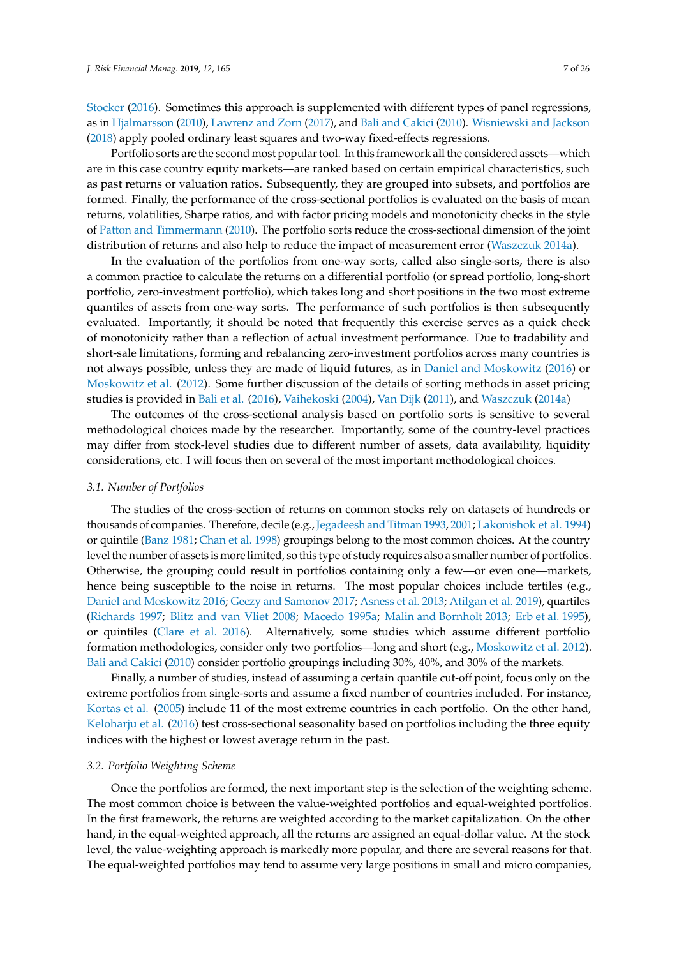[Stocker](#page-24-10) [\(2016\)](#page-24-10). Sometimes this approach is supplemented with different types of panel regressions, as in [Hjalmarsson](#page-21-7) [\(2010\)](#page-21-7), [Lawrenz and Zorn](#page-22-13) [\(2017\)](#page-22-13), and [Bali and Cakici](#page-18-1) [\(2010\)](#page-18-1). [Wisniewski and Jackson](#page-25-3) [\(2018\)](#page-25-3) apply pooled ordinary least squares and two-way fixed-effects regressions.

Portfolio sorts are the second most popular tool. In this framework all the considered assets—which are in this case country equity markets—are ranked based on certain empirical characteristics, such as past returns or valuation ratios. Subsequently, they are grouped into subsets, and portfolios are formed. Finally, the performance of the cross-sectional portfolios is evaluated on the basis of mean returns, volatilities, Sharpe ratios, and with factor pricing models and monotonicity checks in the style of [Patton and Timmermann](#page-23-7) [\(2010\)](#page-23-7). The portfolio sorts reduce the cross-sectional dimension of the joint distribution of returns and also help to reduce the impact of measurement error [\(Waszczuk](#page-25-0) [2014a\)](#page-25-0).

In the evaluation of the portfolios from one-way sorts, called also single-sorts, there is also a common practice to calculate the returns on a differential portfolio (or spread portfolio, long-short portfolio, zero-investment portfolio), which takes long and short positions in the two most extreme quantiles of assets from one-way sorts. The performance of such portfolios is then subsequently evaluated. Importantly, it should be noted that frequently this exercise serves as a quick check of monotonicity rather than a reflection of actual investment performance. Due to tradability and short-sale limitations, forming and rebalancing zero-investment portfolios across many countries is not always possible, unless they are made of liquid futures, as in [Daniel and Moskowitz](#page-20-1) [\(2016\)](#page-20-1) or [Moskowitz et al.](#page-23-4) [\(2012\)](#page-23-4). Some further discussion of the details of sorting methods in asset pricing studies is provided in [Bali et al.](#page-18-0) [\(2016\)](#page-18-0), [Vaihekoski](#page-24-11) [\(2004\)](#page-24-11), [Van Dijk](#page-24-12) [\(2011\)](#page-24-12), and [Waszczuk](#page-25-0) [\(2014a\)](#page-25-0)

The outcomes of the cross-sectional analysis based on portfolio sorts is sensitive to several methodological choices made by the researcher. Importantly, some of the country-level practices may differ from stock-level studies due to different number of assets, data availability, liquidity considerations, etc. I will focus then on several of the most important methodological choices.

## *3.1. Number of Portfolios*

The studies of the cross-section of returns on common stocks rely on datasets of hundreds or thousands of companies. Therefore, decile (e.g., [Jegadeesh and Titman](#page-22-14) [1993,](#page-22-14) [2001;](#page-22-15) [Lakonishok et al.](#page-22-16) [1994\)](#page-22-16) or quintile [\(Banz](#page-18-10) [1981;](#page-18-10) [Chan et al.](#page-19-5) [1998\)](#page-19-5) groupings belong to the most common choices. At the country level the number of assets is more limited, so this type of study requires also a smaller number of portfolios. Otherwise, the grouping could result in portfolios containing only a few—or even one—markets, hence being susceptible to the noise in returns. The most popular choices include tertiles (e.g., [Daniel and Moskowitz](#page-20-1) [2016;](#page-20-1) [Geczy and Samonov](#page-21-3) [2017;](#page-21-3) [Asness et al.](#page-17-4) [2013;](#page-17-4) [Atilgan et al.](#page-17-6) [2019\)](#page-17-6), quartiles [\(Richards](#page-24-3) [1997;](#page-24-3) [Blitz and van Vliet](#page-18-8) [2008;](#page-18-8) [Macedo](#page-23-8) [1995a;](#page-23-8) [Malin and Bornholt](#page-23-3) [2013;](#page-23-3) [Erb et al.](#page-20-5) [1995\)](#page-20-5), or quintiles [\(Clare et al.](#page-19-0) [2016\)](#page-19-0). Alternatively, some studies which assume different portfolio formation methodologies, consider only two portfolios—long and short (e.g., [Moskowitz et al.](#page-23-4) [2012\)](#page-23-4). [Bali and Cakici](#page-18-1) [\(2010\)](#page-18-1) consider portfolio groupings including 30%, 40%, and 30% of the markets.

Finally, a number of studies, instead of assuming a certain quantile cut-off point, focus only on the extreme portfolios from single-sorts and assume a fixed number of countries included. For instance, [Kortas et al.](#page-22-9) [\(2005\)](#page-22-9) include 11 of the most extreme countries in each portfolio. On the other hand, [Keloharju et al.](#page-22-7) [\(2016\)](#page-22-7) test cross-sectional seasonality based on portfolios including the three equity indices with the highest or lowest average return in the past.

# *3.2. Portfolio Weighting Scheme*

Once the portfolios are formed, the next important step is the selection of the weighting scheme. The most common choice is between the value-weighted portfolios and equal-weighted portfolios. In the first framework, the returns are weighted according to the market capitalization. On the other hand, in the equal-weighted approach, all the returns are assigned an equal-dollar value. At the stock level, the value-weighting approach is markedly more popular, and there are several reasons for that. The equal-weighted portfolios may tend to assume very large positions in small and micro companies,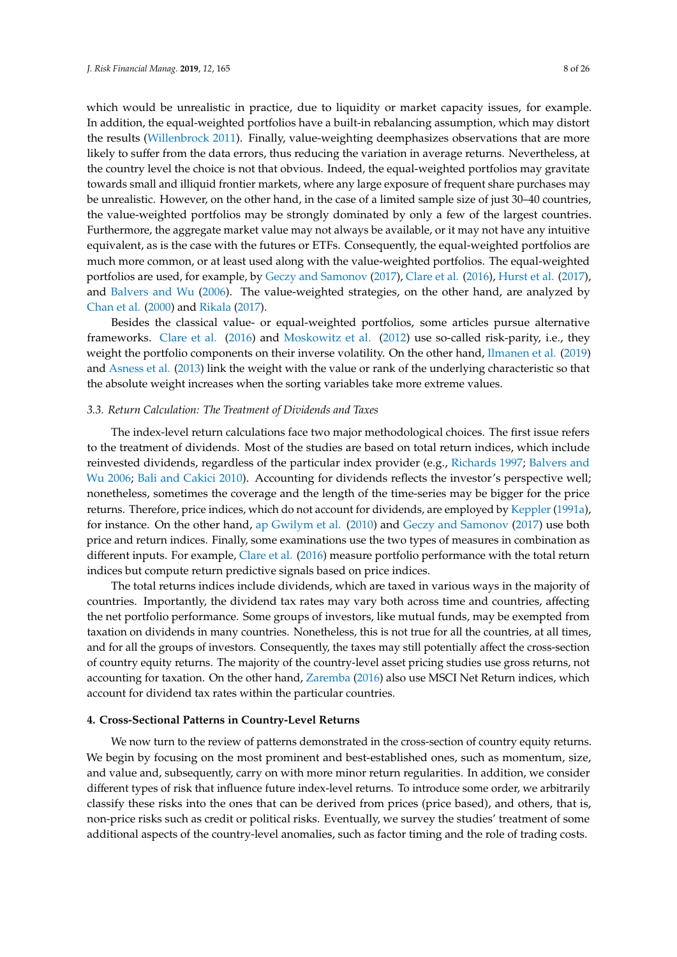which would be unrealistic in practice, due to liquidity or market capacity issues, for example. In addition, the equal-weighted portfolios have a built-in rebalancing assumption, which may distort the results [\(Willenbrock](#page-25-4) [2011\)](#page-25-4). Finally, value-weighting deemphasizes observations that are more likely to suffer from the data errors, thus reducing the variation in average returns. Nevertheless, at the country level the choice is not that obvious. Indeed, the equal-weighted portfolios may gravitate towards small and illiquid frontier markets, where any large exposure of frequent share purchases may be unrealistic. However, on the other hand, in the case of a limited sample size of just 30–40 countries, the value-weighted portfolios may be strongly dominated by only a few of the largest countries. Furthermore, the aggregate market value may not always be available, or it may not have any intuitive equivalent, as is the case with the futures or ETFs. Consequently, the equal-weighted portfolios are much more common, or at least used along with the value-weighted portfolios. The equal-weighted portfolios are used, for example, by [Geczy and Samonov](#page-21-3) [\(2017\)](#page-21-3), [Clare et al.](#page-19-0) [\(2016\)](#page-19-0), [Hurst et al.](#page-22-2) [\(2017\)](#page-22-2), and [Balvers and Wu](#page-18-3) [\(2006\)](#page-18-3). The value-weighted strategies, on the other hand, are analyzed by [Chan et al.](#page-19-2) [\(2000\)](#page-19-2) and [Rikala](#page-24-4) [\(2017\)](#page-24-4).

Besides the classical value- or equal-weighted portfolios, some articles pursue alternative frameworks. [Clare et al.](#page-19-0) [\(2016\)](#page-19-0) and [Moskowitz et al.](#page-23-4) [\(2012\)](#page-23-4) use so-called risk-parity, i.e., they weight the portfolio components on their inverse volatility. On the other hand, [Ilmanen et al.](#page-22-3) [\(2019\)](#page-22-3) and [Asness et al.](#page-17-4) [\(2013\)](#page-17-4) link the weight with the value or rank of the underlying characteristic so that the absolute weight increases when the sorting variables take more extreme values.

#### *3.3. Return Calculation: The Treatment of Dividends and Taxes*

The index-level return calculations face two major methodological choices. The first issue refers to the treatment of dividends. Most of the studies are based on total return indices, which include reinvested dividends, regardless of the particular index provider (e.g., [Richards](#page-24-3) [1997;](#page-24-3) [Balvers and](#page-18-3) [Wu](#page-18-3) [2006;](#page-18-3) [Bali and Cakici](#page-18-1) [2010\)](#page-18-1). Accounting for dividends reflects the investor's perspective well; nonetheless, sometimes the coverage and the length of the time-series may be bigger for the price returns. Therefore, price indices, which do not account for dividends, are employed by [Keppler](#page-22-1) [\(1991a\)](#page-22-1), for instance. On the other hand, [ap Gwilym et al.](#page-17-3) [\(2010\)](#page-17-3) and [Geczy and Samonov](#page-21-3) [\(2017\)](#page-21-3) use both price and return indices. Finally, some examinations use the two types of measures in combination as different inputs. For example, [Clare et al.](#page-19-0) [\(2016\)](#page-19-0) measure portfolio performance with the total return indices but compute return predictive signals based on price indices.

The total returns indices include dividends, which are taxed in various ways in the majority of countries. Importantly, the dividend tax rates may vary both across time and countries, affecting the net portfolio performance. Some groups of investors, like mutual funds, may be exempted from taxation on dividends in many countries. Nonetheless, this is not true for all the countries, at all times, and for all the groups of investors. Consequently, the taxes may still potentially affect the cross-section of country equity returns. The majority of the country-level asset pricing studies use gross returns, not accounting for taxation. On the other hand, [Zaremba](#page-25-5) [\(2016\)](#page-25-5) also use MSCI Net Return indices, which account for dividend tax rates within the particular countries.

#### <span id="page-7-0"></span>**4. Cross-Sectional Patterns in Country-Level Returns**

We now turn to the review of patterns demonstrated in the cross-section of country equity returns. We begin by focusing on the most prominent and best-established ones, such as momentum, size, and value and, subsequently, carry on with more minor return regularities. In addition, we consider different types of risk that influence future index-level returns. To introduce some order, we arbitrarily classify these risks into the ones that can be derived from prices (price based), and others, that is, non-price risks such as credit or political risks. Eventually, we survey the studies' treatment of some additional aspects of the country-level anomalies, such as factor timing and the role of trading costs.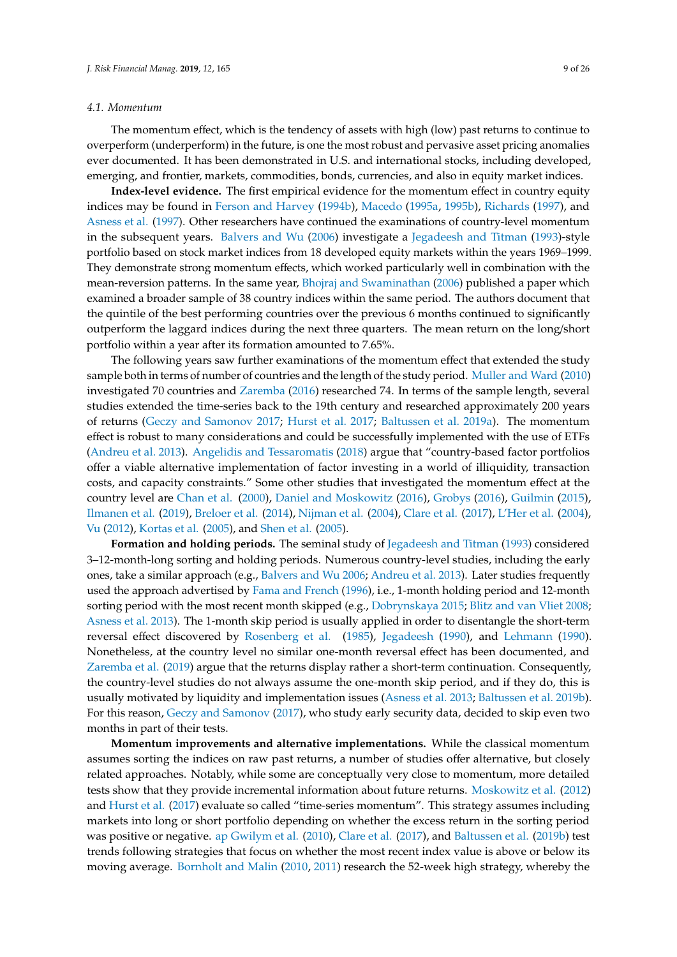#### *4.1. Momentum*

The momentum effect, which is the tendency of assets with high (low) past returns to continue to overperform (underperform) in the future, is one the most robust and pervasive asset pricing anomalies ever documented. It has been demonstrated in U.S. and international stocks, including developed, emerging, and frontier, markets, commodities, bonds, currencies, and also in equity market indices.

**Index-level evidence.** The first empirical evidence for the momentum effect in country equity indices may be found in [Ferson and Harvey](#page-20-9) [\(1994b\)](#page-20-9), [Macedo](#page-23-8) [\(1995a,](#page-23-8) [1995b\)](#page-23-9), [Richards](#page-24-3) [\(1997\)](#page-24-3), and [Asness et al.](#page-17-7) [\(1997\)](#page-17-7). Other researchers have continued the examinations of country-level momentum in the subsequent years. [Balvers and Wu](#page-18-3) [\(2006\)](#page-18-3) investigate a [Jegadeesh and Titman](#page-22-14) [\(1993\)](#page-22-14)-style portfolio based on stock market indices from 18 developed equity markets within the years 1969–1999. They demonstrate strong momentum effects, which worked particularly well in combination with the mean-reversion patterns. In the same year, [Bhojraj and Swaminathan](#page-18-6) [\(2006\)](#page-18-6) published a paper which examined a broader sample of 38 country indices within the same period. The authors document that the quintile of the best performing countries over the previous 6 months continued to significantly outperform the laggard indices during the next three quarters. The mean return on the long/short portfolio within a year after its formation amounted to 7.65%.

The following years saw further examinations of the momentum effect that extended the study sample both in terms of number of countries and the length of the study period. [Muller and Ward](#page-23-5) [\(2010\)](#page-23-5) investigated 70 countries and [Zaremba](#page-25-5) [\(2016\)](#page-25-5) researched 74. In terms of the sample length, several studies extended the time-series back to the 19th century and researched approximately 200 years of returns [\(Geczy and Samonov](#page-21-3) [2017;](#page-21-3) [Hurst et al.](#page-22-2) [2017;](#page-22-2) [Baltussen et al.](#page-18-2) [2019a\)](#page-18-2). The momentum effect is robust to many considerations and could be successfully implemented with the use of ETFs [\(Andreu et al.](#page-17-5) [2013\)](#page-17-5). [Angelidis and Tessaromatis](#page-17-2) [\(2018\)](#page-17-2) argue that "country-based factor portfolios offer a viable alternative implementation of factor investing in a world of illiquidity, transaction costs, and capacity constraints." Some other studies that investigated the momentum effect at the country level are [Chan et al.](#page-19-2) [\(2000\)](#page-19-2), [Daniel and Moskowitz](#page-20-1) [\(2016\)](#page-20-1), [Grobys](#page-21-6) [\(2016\)](#page-21-6), [Guilmin](#page-21-4) [\(2015\)](#page-21-4), [Ilmanen et al.](#page-22-3) [\(2019\)](#page-22-3), [Breloer et al.](#page-19-4) [\(2014\)](#page-19-4), [Nijman et al.](#page-23-10) [\(2004\)](#page-23-10), [Clare et al.](#page-19-6) [\(2017\)](#page-19-6), [L'Her et al.](#page-22-10) [\(2004\)](#page-22-10), [Vu](#page-24-7) [\(2012\)](#page-24-7), [Kortas et al.](#page-22-9) [\(2005\)](#page-22-9), and [Shen et al.](#page-24-13) [\(2005\)](#page-24-13).

**Formation and holding periods.** The seminal study of [Jegadeesh and Titman](#page-22-14) [\(1993\)](#page-22-14) considered 3–12-month-long sorting and holding periods. Numerous country-level studies, including the early ones, take a similar approach (e.g., [Balvers and Wu](#page-18-3) [2006;](#page-18-3) [Andreu et al.](#page-17-5) [2013\)](#page-17-5). Later studies frequently used the approach advertised by [Fama and French](#page-20-13) [\(1996\)](#page-20-13), i.e., 1-month holding period and 12-month sorting period with the most recent month skipped (e.g., [Dobrynskaya](#page-20-3) [2015;](#page-20-3) [Blitz and van Vliet](#page-18-8) [2008;](#page-18-8) [Asness et al.](#page-17-4) [2013\)](#page-17-4). The 1-month skip period is usually applied in order to disentangle the short-term reversal effect discovered by [Rosenberg et al.](#page-24-14) [\(1985\)](#page-24-14), [Jegadeesh](#page-22-17) [\(1990\)](#page-22-17), and [Lehmann](#page-23-11) [\(1990\)](#page-23-11). Nonetheless, at the country level no similar one-month reversal effect has been documented, and [Zaremba et al.](#page-25-6) [\(2019\)](#page-25-6) argue that the returns display rather a short-term continuation. Consequently, the country-level studies do not always assume the one-month skip period, and if they do, this is usually motivated by liquidity and implementation issues [\(Asness et al.](#page-17-4) [2013;](#page-17-4) [Baltussen et al.](#page-18-9) [2019b\)](#page-18-9). For this reason, [Geczy and Samonov](#page-21-3) [\(2017\)](#page-21-3), who study early security data, decided to skip even two months in part of their tests.

**Momentum improvements and alternative implementations.** While the classical momentum assumes sorting the indices on raw past returns, a number of studies offer alternative, but closely related approaches. Notably, while some are conceptually very close to momentum, more detailed tests show that they provide incremental information about future returns. [Moskowitz et al.](#page-23-4) [\(2012\)](#page-23-4) and [Hurst et al.](#page-22-2) [\(2017\)](#page-22-2) evaluate so called "time-series momentum". This strategy assumes including markets into long or short portfolio depending on whether the excess return in the sorting period was positive or negative. [ap Gwilym et al.](#page-17-3) [\(2010\)](#page-17-3), [Clare et al.](#page-19-6) [\(2017\)](#page-19-6), and [Baltussen et al.](#page-18-9) [\(2019b\)](#page-18-9) test trends following strategies that focus on whether the most recent index value is above or below its moving average. [Bornholt and Malin](#page-19-7) [\(2010,](#page-19-7) [2011\)](#page-19-8) research the 52-week high strategy, whereby the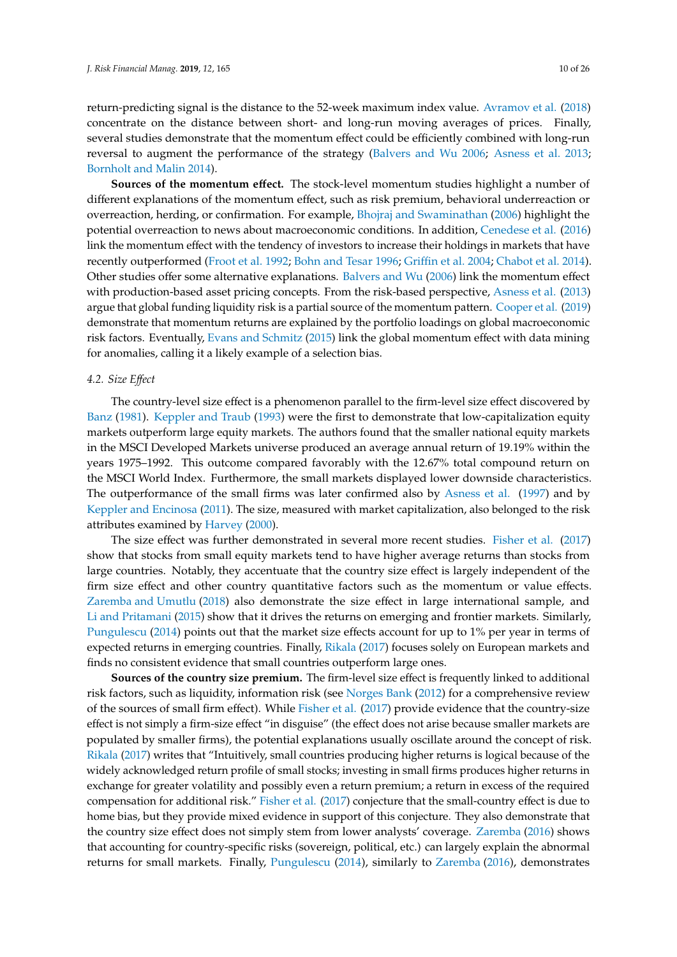[Bornholt and Malin](#page-18-11) [2014\)](#page-18-11).

return-predicting signal is the distance to the 52-week maximum index value. [Avramov et al.](#page-17-8) [\(2018\)](#page-17-8) concentrate on the distance between short- and long-run moving averages of prices. Finally, several studies demonstrate that the momentum effect could be efficiently combined with long-run reversal to augment the performance of the strategy [\(Balvers and Wu](#page-18-3) [2006;](#page-18-3) [Asness et al.](#page-17-4) [2013;](#page-17-4)

**Sources of the momentum e**ff**ect.** The stock-level momentum studies highlight a number of different explanations of the momentum effect, such as risk premium, behavioral underreaction or overreaction, herding, or confirmation. For example, [Bhojraj and Swaminathan](#page-18-6) [\(2006\)](#page-18-6) highlight the potential overreaction to news about macroeconomic conditions. In addition, [Cenedese et al.](#page-19-1) [\(2016\)](#page-19-1) link the momentum effect with the tendency of investors to increase their holdings in markets that have recently outperformed [\(Froot et al.](#page-21-8) [1992;](#page-21-8) [Bohn and Tesar](#page-18-12) [1996;](#page-18-12) Griffi[n et al.](#page-21-9) [2004;](#page-21-9) [Chabot et al.](#page-19-9) [2014\)](#page-19-9). Other studies offer some alternative explanations. [Balvers and Wu](#page-18-3) [\(2006\)](#page-18-3) link the momentum effect with production-based asset pricing concepts. From the risk-based perspective, [Asness et al.](#page-17-4) [\(2013\)](#page-17-4) argue that global funding liquidity risk is a partial source of the momentum pattern. [Cooper et al.](#page-19-10) [\(2019\)](#page-19-10) demonstrate that momentum returns are explained by the portfolio loadings on global macroeconomic risk factors. Eventually, [Evans and Schmitz](#page-20-14) [\(2015\)](#page-20-14) link the global momentum effect with data mining for anomalies, calling it a likely example of a selection bias.

# *4.2. Size E*ff*ect*

The country-level size effect is a phenomenon parallel to the firm-level size effect discovered by [Banz](#page-18-10) [\(1981\)](#page-18-10). [Keppler and Traub](#page-22-18) [\(1993\)](#page-22-18) were the first to demonstrate that low-capitalization equity markets outperform large equity markets. The authors found that the smaller national equity markets in the MSCI Developed Markets universe produced an average annual return of 19.19% within the years 1975–1992. This outcome compared favorably with the 12.67% total compound return on the MSCI World Index. Furthermore, the small markets displayed lower downside characteristics. The outperformance of the small firms was later confirmed also by [Asness et al.](#page-17-7) [\(1997\)](#page-17-7) and by [Keppler and Encinosa](#page-22-11) [\(2011\)](#page-22-11). The size, measured with market capitalization, also belonged to the risk attributes examined by [Harvey](#page-21-10) [\(2000\)](#page-21-10).

The size effect was further demonstrated in several more recent studies. [Fisher et al.](#page-21-2) [\(2017\)](#page-21-2) show that stocks from small equity markets tend to have higher average returns than stocks from large countries. Notably, they accentuate that the country size effect is largely independent of the firm size effect and other country quantitative factors such as the momentum or value effects. [Zaremba and Umutlu](#page-25-7) [\(2018\)](#page-25-7) also demonstrate the size effect in large international sample, and [Li and Pritamani](#page-23-12) [\(2015\)](#page-23-12) show that it drives the returns on emerging and frontier markets. Similarly, [Pungulescu](#page-24-2) [\(2014\)](#page-24-2) points out that the market size effects account for up to 1% per year in terms of expected returns in emerging countries. Finally, [Rikala](#page-24-4) [\(2017\)](#page-24-4) focuses solely on European markets and finds no consistent evidence that small countries outperform large ones.

**Sources of the country size premium.** The firm-level size effect is frequently linked to additional risk factors, such as liquidity, information risk (see [Norges Bank](#page-23-13) [\(2012\)](#page-23-13) for a comprehensive review of the sources of small firm effect). While [Fisher et al.](#page-21-2) [\(2017\)](#page-21-2) provide evidence that the country-size effect is not simply a firm-size effect "in disguise" (the effect does not arise because smaller markets are populated by smaller firms), the potential explanations usually oscillate around the concept of risk. [Rikala](#page-24-4) [\(2017\)](#page-24-4) writes that "Intuitively, small countries producing higher returns is logical because of the widely acknowledged return profile of small stocks; investing in small firms produces higher returns in exchange for greater volatility and possibly even a return premium; a return in excess of the required compensation for additional risk." [Fisher et al.](#page-21-2) [\(2017\)](#page-21-2) conjecture that the small-country effect is due to home bias, but they provide mixed evidence in support of this conjecture. They also demonstrate that the country size effect does not simply stem from lower analysts' coverage. [Zaremba](#page-25-5) [\(2016\)](#page-25-5) shows that accounting for country-specific risks (sovereign, political, etc.) can largely explain the abnormal returns for small markets. Finally, [Pungulescu](#page-24-2) [\(2014\)](#page-24-2), similarly to [Zaremba](#page-25-5) [\(2016\)](#page-25-5), demonstrates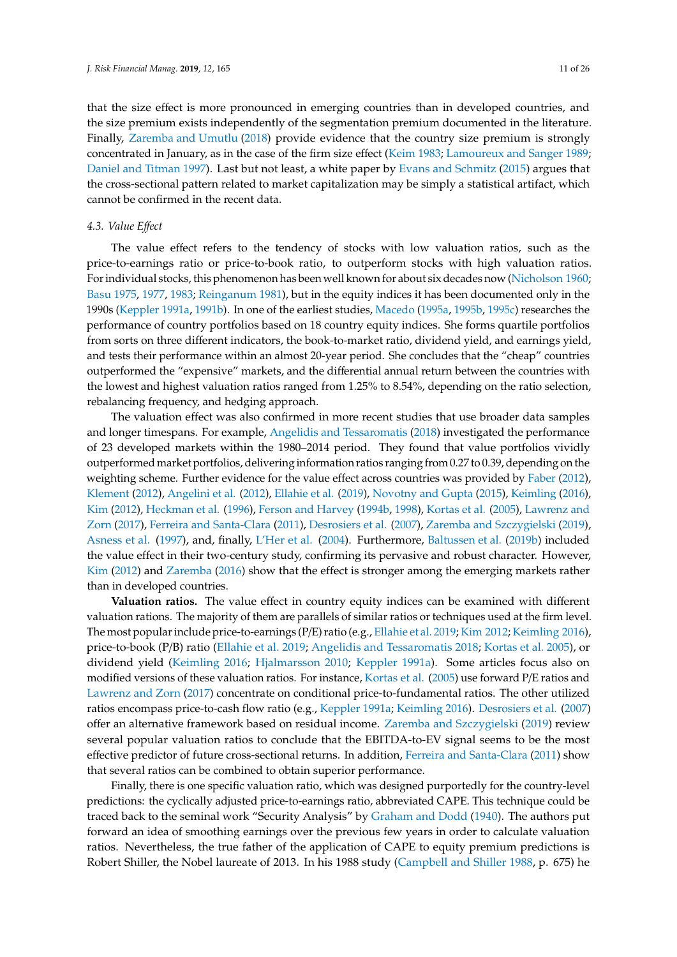that the size effect is more pronounced in emerging countries than in developed countries, and the size premium exists independently of the segmentation premium documented in the literature. Finally, [Zaremba and Umutlu](#page-25-7) [\(2018\)](#page-25-7) provide evidence that the country size premium is strongly concentrated in January, as in the case of the firm size effect [\(Keim](#page-22-19) [1983;](#page-22-19) [Lamoureux and Sanger](#page-22-20) [1989;](#page-22-20) [Daniel and Titman](#page-20-15) [1997\)](#page-20-15). Last but not least, a white paper by [Evans and Schmitz](#page-20-14) [\(2015\)](#page-20-14) argues that the cross-sectional pattern related to market capitalization may be simply a statistical artifact, which cannot be confirmed in the recent data.

# *4.3. Value E*ff*ect*

The value effect refers to the tendency of stocks with low valuation ratios, such as the price-to-earnings ratio or price-to-book ratio, to outperform stocks with high valuation ratios. For individual stocks, this phenomenon has been well known for about six decades now [\(Nicholson](#page-23-14) [1960;](#page-23-14) [Basu](#page-18-13) [1975,](#page-18-13) [1977,](#page-18-14) [1983;](#page-18-15) [Reinganum](#page-24-15) [1981\)](#page-24-15), but in the equity indices it has been documented only in the 1990s [\(Keppler](#page-22-1) [1991a,](#page-22-1) [1991b\)](#page-22-8). In one of the earliest studies, [Macedo](#page-23-8) [\(1995a,](#page-23-8) [1995b,](#page-23-9) [1995c\)](#page-23-2) researches the performance of country portfolios based on 18 country equity indices. She forms quartile portfolios from sorts on three different indicators, the book-to-market ratio, dividend yield, and earnings yield, and tests their performance within an almost 20-year period. She concludes that the "cheap" countries outperformed the "expensive" markets, and the differential annual return between the countries with the lowest and highest valuation ratios ranged from 1.25% to 8.54%, depending on the ratio selection, rebalancing frequency, and hedging approach.

The valuation effect was also confirmed in more recent studies that use broader data samples and longer timespans. For example, [Angelidis and Tessaromatis](#page-17-2) [\(2018\)](#page-17-2) investigated the performance of 23 developed markets within the 1980–2014 period. They found that value portfolios vividly outperformed market portfolios, delivering information ratios ranging from 0.27 to 0.39, depending on the weighting scheme. Further evidence for the value effect across countries was provided by [Faber](#page-20-16) [\(2012\)](#page-20-16), [Klement](#page-22-21) [\(2012\)](#page-22-21), [Angelini et al.](#page-17-9) [\(2012\)](#page-17-9), [Ellahie et al.](#page-20-4) [\(2019\)](#page-20-4), [Novotny and Gupta](#page-23-6) [\(2015\)](#page-23-6), [Keimling](#page-22-5) [\(2016\)](#page-22-5), [Kim](#page-22-22) [\(2012\)](#page-22-22), [Heckman et al.](#page-21-11) [\(1996\)](#page-21-11), [Ferson and Harvey](#page-20-9) [\(1994b,](#page-20-9) [1998\)](#page-20-17), [Kortas et al.](#page-22-9) [\(2005\)](#page-22-9), [Lawrenz and](#page-22-13) [Zorn](#page-22-13) [\(2017\)](#page-22-13), [Ferreira and Santa-Clara](#page-20-18) [\(2011\)](#page-20-18), [Desrosiers et al.](#page-20-2) [\(2007\)](#page-20-2), [Zaremba and Szczygielski](#page-25-8) [\(2019\)](#page-25-8), [Asness et al.](#page-17-7) [\(1997\)](#page-17-7), and, finally, [L'Her et al.](#page-22-10) [\(2004\)](#page-22-10). Furthermore, [Baltussen et al.](#page-18-9) [\(2019b\)](#page-18-9) included the value effect in their two-century study, confirming its pervasive and robust character. However, [Kim](#page-22-22) [\(2012\)](#page-22-22) and [Zaremba](#page-25-5) [\(2016\)](#page-25-5) show that the effect is stronger among the emerging markets rather than in developed countries.

**Valuation ratios.** The value effect in country equity indices can be examined with different valuation rations. The majority of them are parallels of similar ratios or techniques used at the firm level. The most popular include price-to-earnings (P/E) ratio (e.g., [Ellahie et al.](#page-20-4) [2019;](#page-20-4) [Kim](#page-22-22) [2012;](#page-22-22) [Keimling](#page-22-5) [2016\)](#page-22-5), price-to-book (P/B) ratio [\(Ellahie et al.](#page-20-4) [2019;](#page-20-4) [Angelidis and Tessaromatis](#page-17-2) [2018;](#page-17-2) [Kortas et al.](#page-22-9) [2005\)](#page-22-9), or dividend yield [\(Keimling](#page-22-5) [2016;](#page-22-5) [Hjalmarsson](#page-21-7) [2010;](#page-21-7) [Keppler](#page-22-1) [1991a\)](#page-22-1). Some articles focus also on modified versions of these valuation ratios. For instance, [Kortas et al.](#page-22-9) [\(2005\)](#page-22-9) use forward P/E ratios and [Lawrenz and Zorn](#page-22-13) [\(2017\)](#page-22-13) concentrate on conditional price-to-fundamental ratios. The other utilized ratios encompass price-to-cash flow ratio (e.g., [Keppler](#page-22-1) [1991a;](#page-22-1) [Keimling](#page-22-5) [2016\)](#page-22-5). [Desrosiers et al.](#page-20-2) [\(2007\)](#page-20-2) offer an alternative framework based on residual income. [Zaremba and Szczygielski](#page-25-8) [\(2019\)](#page-25-8) review several popular valuation ratios to conclude that the EBITDA-to-EV signal seems to be the most effective predictor of future cross-sectional returns. In addition, [Ferreira and Santa-Clara](#page-20-18) [\(2011\)](#page-20-18) show that several ratios can be combined to obtain superior performance.

Finally, there is one specific valuation ratio, which was designed purportedly for the country-level predictions: the cyclically adjusted price-to-earnings ratio, abbreviated CAPE. This technique could be traced back to the seminal work "Security Analysis" by [Graham and Dodd](#page-21-12) [\(1940\)](#page-21-12). The authors put forward an idea of smoothing earnings over the previous few years in order to calculate valuation ratios. Nevertheless, the true father of the application of CAPE to equity premium predictions is Robert Shiller, the Nobel laureate of 2013. In his 1988 study [\(Campbell and Shiller](#page-19-11) [1988,](#page-19-11) p. 675) he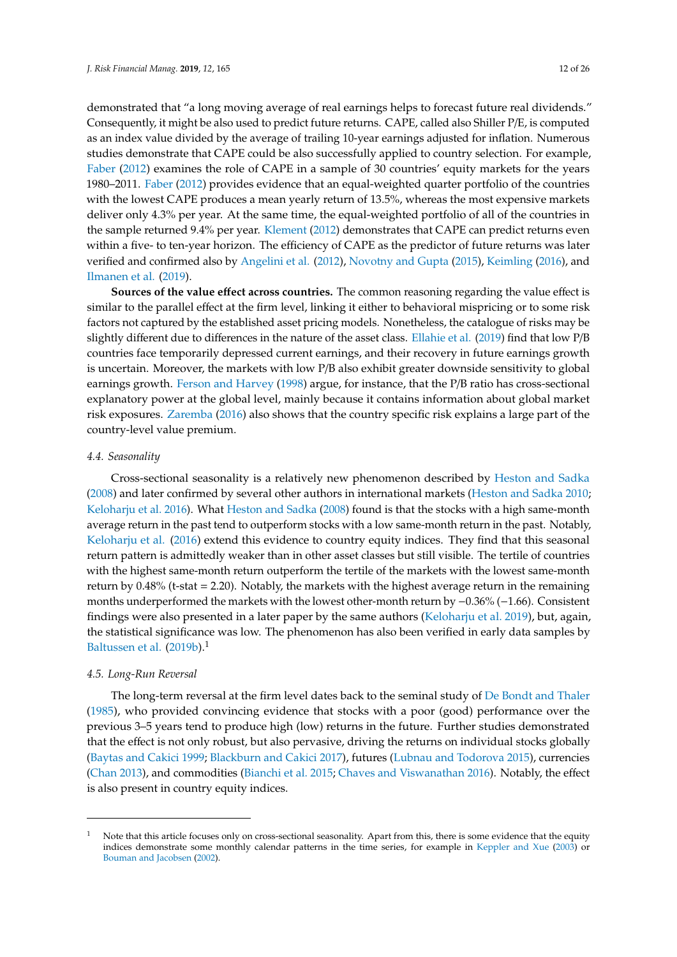demonstrated that "a long moving average of real earnings helps to forecast future real dividends." Consequently, it might be also used to predict future returns. CAPE, called also Shiller P/E, is computed as an index value divided by the average of trailing 10-year earnings adjusted for inflation. Numerous studies demonstrate that CAPE could be also successfully applied to country selection. For example, [Faber](#page-20-16) [\(2012\)](#page-20-16) examines the role of CAPE in a sample of 30 countries' equity markets for the years 1980–2011. [Faber](#page-20-16) [\(2012\)](#page-20-16) provides evidence that an equal-weighted quarter portfolio of the countries with the lowest CAPE produces a mean yearly return of 13.5%, whereas the most expensive markets deliver only 4.3% per year. At the same time, the equal-weighted portfolio of all of the countries in the sample returned 9.4% per year. [Klement](#page-22-21) [\(2012\)](#page-22-21) demonstrates that CAPE can predict returns even within a five- to ten-year horizon. The efficiency of CAPE as the predictor of future returns was later verified and confirmed also by [Angelini et al.](#page-17-9) [\(2012\)](#page-17-9), [Novotny and Gupta](#page-23-6) [\(2015\)](#page-23-6), [Keimling](#page-22-5) [\(2016\)](#page-22-5), and [Ilmanen et al.](#page-22-3) [\(2019\)](#page-22-3).

**Sources of the value e**ff**ect across countries.** The common reasoning regarding the value effect is similar to the parallel effect at the firm level, linking it either to behavioral mispricing or to some risk factors not captured by the established asset pricing models. Nonetheless, the catalogue of risks may be slightly different due to differences in the nature of the asset class. [Ellahie et al.](#page-20-4) [\(2019\)](#page-20-4) find that low P/B countries face temporarily depressed current earnings, and their recovery in future earnings growth is uncertain. Moreover, the markets with low P/B also exhibit greater downside sensitivity to global earnings growth. [Ferson and Harvey](#page-20-17) [\(1998\)](#page-20-17) argue, for instance, that the P/B ratio has cross-sectional explanatory power at the global level, mainly because it contains information about global market risk exposures. [Zaremba](#page-25-5) [\(2016\)](#page-25-5) also shows that the country specific risk explains a large part of the country-level value premium.

# *4.4. Seasonality*

Cross-sectional seasonality is a relatively new phenomenon described by [Heston and Sadka](#page-21-13) [\(2008\)](#page-21-13) and later confirmed by several other authors in international markets [\(Heston and Sadka](#page-21-14) [2010;](#page-21-14) [Keloharju et al.](#page-22-7) [2016\)](#page-22-7). What [Heston and Sadka](#page-21-13) [\(2008\)](#page-21-13) found is that the stocks with a high same-month average return in the past tend to outperform stocks with a low same-month return in the past. Notably, [Keloharju et al.](#page-22-7) [\(2016\)](#page-22-7) extend this evidence to country equity indices. They find that this seasonal return pattern is admittedly weaker than in other asset classes but still visible. The tertile of countries with the highest same-month return outperform the tertile of the markets with the lowest same-month return by  $0.48\%$  (t-stat = 2.20). Notably, the markets with the highest average return in the remaining months underperformed the markets with the lowest other-month return by −0.36% (−1.66). Consistent findings were also presented in a later paper by the same authors [\(Keloharju et al.](#page-22-6) [2019\)](#page-22-6), but, again, the statistical significance was low. The phenomenon has also been verified in early data samples by [Baltussen et al.](#page-18-9) [\(2019b\)](#page-18-9).<sup>1</sup>

# *4.5. Long-Run Reversal*

The long-term reversal at the firm level dates back to the seminal study of [De Bondt and Thaler](#page-20-19) [\(1985\)](#page-20-19), who provided convincing evidence that stocks with a poor (good) performance over the previous 3–5 years tend to produce high (low) returns in the future. Further studies demonstrated that the effect is not only robust, but also pervasive, driving the returns on individual stocks globally [\(Baytas and Cakici](#page-18-16) [1999;](#page-18-16) [Blackburn and Cakici](#page-18-17) [2017\)](#page-18-17), futures [\(Lubnau and Todorova](#page-23-15) [2015\)](#page-23-15), currencies [\(Chan](#page-19-12) [2013\)](#page-19-12), and commodities [\(Bianchi et al.](#page-18-18) [2015;](#page-18-18) [Chaves and Viswanathan](#page-19-13) [2016\)](#page-19-13). Notably, the effect is also present in country equity indices.

Note that this article focuses only on cross-sectional seasonality. Apart from this, there is some evidence that the equity indices demonstrate some monthly calendar patterns in the time series, for example in [Keppler and Xue](#page-22-23) [\(2003\)](#page-22-23) or [Bouman and Jacobsen](#page-19-14) [\(2002\)](#page-19-14).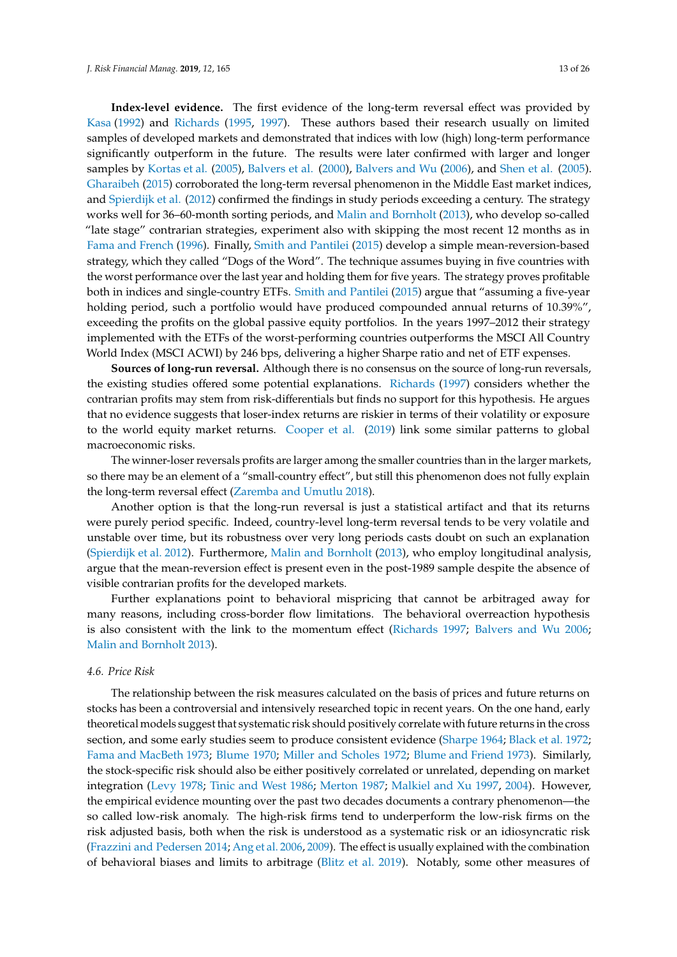**Index-level evidence.** The first evidence of the long-term reversal effect was provided by [Kasa](#page-22-4) [\(1992\)](#page-22-4) and [Richards](#page-24-0) [\(1995,](#page-24-0) [1997\)](#page-24-3). These authors based their research usually on limited samples of developed markets and demonstrated that indices with low (high) long-term performance significantly outperform in the future. The results were later confirmed with larger and longer samples by [Kortas et al.](#page-22-9) [\(2005\)](#page-22-9), [Balvers et al.](#page-18-4) [\(2000\)](#page-18-4), [Balvers and Wu](#page-18-3) [\(2006\)](#page-18-3), and [Shen et al.](#page-24-13) [\(2005\)](#page-24-13). [Gharaibeh](#page-21-15) [\(2015\)](#page-21-15) corroborated the long-term reversal phenomenon in the Middle East market indices, and [Spierdijk et al.](#page-24-6) [\(2012\)](#page-24-6) confirmed the findings in study periods exceeding a century. The strategy works well for 36–60-month sorting periods, and [Malin and Bornholt](#page-23-3) [\(2013\)](#page-23-3), who develop so-called "late stage" contrarian strategies, experiment also with skipping the most recent 12 months as in [Fama and French](#page-20-13) [\(1996\)](#page-20-13). Finally, [Smith and Pantilei](#page-24-5) [\(2015\)](#page-24-5) develop a simple mean-reversion-based strategy, which they called "Dogs of the Word". The technique assumes buying in five countries with the worst performance over the last year and holding them for five years. The strategy proves profitable both in indices and single-country ETFs. [Smith and Pantilei](#page-24-5) [\(2015\)](#page-24-5) argue that "assuming a five-year holding period, such a portfolio would have produced compounded annual returns of 10.39%", exceeding the profits on the global passive equity portfolios. In the years 1997–2012 their strategy implemented with the ETFs of the worst-performing countries outperforms the MSCI All Country World Index (MSCI ACWI) by 246 bps, delivering a higher Sharpe ratio and net of ETF expenses.

**Sources of long-run reversal.** Although there is no consensus on the source of long-run reversals, the existing studies offered some potential explanations. [Richards](#page-24-3) [\(1997\)](#page-24-3) considers whether the contrarian profits may stem from risk-differentials but finds no support for this hypothesis. He argues that no evidence suggests that loser-index returns are riskier in terms of their volatility or exposure to the world equity market returns. [Cooper et al.](#page-19-10) [\(2019\)](#page-19-10) link some similar patterns to global macroeconomic risks.

The winner-loser reversals profits are larger among the smaller countries than in the larger markets, so there may be an element of a "small-country effect", but still this phenomenon does not fully explain the long-term reversal effect [\(Zaremba and Umutlu](#page-25-7) [2018\)](#page-25-7).

Another option is that the long-run reversal is just a statistical artifact and that its returns were purely period specific. Indeed, country-level long-term reversal tends to be very volatile and unstable over time, but its robustness over very long periods casts doubt on such an explanation [\(Spierdijk et al.](#page-24-6) [2012\)](#page-24-6). Furthermore, [Malin and Bornholt](#page-23-3) [\(2013\)](#page-23-3), who employ longitudinal analysis, argue that the mean-reversion effect is present even in the post-1989 sample despite the absence of visible contrarian profits for the developed markets.

Further explanations point to behavioral mispricing that cannot be arbitraged away for many reasons, including cross-border flow limitations. The behavioral overreaction hypothesis is also consistent with the link to the momentum effect [\(Richards](#page-24-3) [1997;](#page-24-3) [Balvers and Wu](#page-18-3) [2006;](#page-18-3) [Malin and Bornholt](#page-23-3) [2013\)](#page-23-3).

# *4.6. Price Risk*

The relationship between the risk measures calculated on the basis of prices and future returns on stocks has been a controversial and intensively researched topic in recent years. On the one hand, early theoretical models suggest that systematic risk should positively correlate with future returns in the cross section, and some early studies seem to produce consistent evidence [\(Sharpe](#page-24-16) [1964;](#page-24-16) [Black et al.](#page-18-19) [1972;](#page-18-19) [Fama and MacBeth](#page-20-12) [1973;](#page-20-12) [Blume](#page-18-20) [1970;](#page-18-20) [Miller and Scholes](#page-23-16) [1972;](#page-23-16) [Blume and Friend](#page-18-21) [1973\)](#page-18-21). Similarly, the stock-specific risk should also be either positively correlated or unrelated, depending on market integration [\(Levy](#page-23-17) [1978;](#page-23-17) [Tinic and West](#page-24-17) [1986;](#page-24-17) [Merton](#page-23-18) [1987;](#page-23-18) [Malkiel and Xu](#page-23-19) [1997,](#page-23-19) [2004\)](#page-23-20). However, the empirical evidence mounting over the past two decades documents a contrary phenomenon—the so called low-risk anomaly. The high-risk firms tend to underperform the low-risk firms on the risk adjusted basis, both when the risk is understood as a systematic risk or an idiosyncratic risk [\(Frazzini and Pedersen](#page-21-16) [2014;](#page-21-16) [Ang et al.](#page-17-10) [2006,](#page-17-10) [2009\)](#page-17-11). The effect is usually explained with the combination of behavioral biases and limits to arbitrage [\(Blitz et al.](#page-18-22) [2019\)](#page-18-22). Notably, some other measures of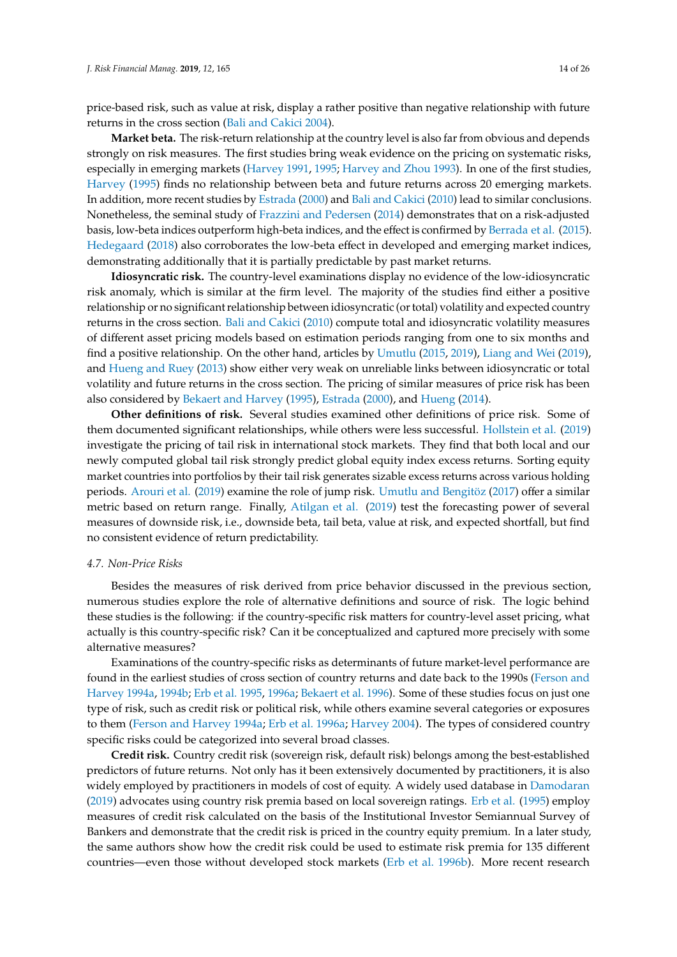price-based risk, such as value at risk, display a rather positive than negative relationship with future returns in the cross section [\(Bali and Cakici](#page-17-12) [2004\)](#page-17-12).

**Market beta.** The risk-return relationship at the country level is also far from obvious and depends strongly on risk measures. The first studies bring weak evidence on the pricing on systematic risks, especially in emerging markets [\(Harvey](#page-21-17) [1991,](#page-21-17) [1995;](#page-21-18) [Harvey and Zhou](#page-21-19) [1993\)](#page-21-19). In one of the first studies, [Harvey](#page-21-18) [\(1995\)](#page-21-18) finds no relationship between beta and future returns across 20 emerging markets. In addition, more recent studies by [Estrada](#page-20-6) [\(2000\)](#page-20-6) and [Bali and Cakici](#page-18-1) [\(2010\)](#page-18-1) lead to similar conclusions. Nonetheless, the seminal study of [Frazzini and Pedersen](#page-21-16) [\(2014\)](#page-21-16) demonstrates that on a risk-adjusted basis, low-beta indices outperform high-beta indices, and the effect is confirmed by [Berrada et al.](#page-18-5) [\(2015\)](#page-18-5). [Hedegaard](#page-21-5) [\(2018\)](#page-21-5) also corroborates the low-beta effect in developed and emerging market indices, demonstrating additionally that it is partially predictable by past market returns.

**Idiosyncratic risk.** The country-level examinations display no evidence of the low-idiosyncratic risk anomaly, which is similar at the firm level. The majority of the studies find either a positive relationship or no significant relationship between idiosyncratic (or total) volatility and expected country returns in the cross section. [Bali and Cakici](#page-18-1) [\(2010\)](#page-18-1) compute total and idiosyncratic volatility measures of different asset pricing models based on estimation periods ranging from one to six months and find a positive relationship. On the other hand, articles by [Umutlu](#page-24-8) [\(2015,](#page-24-8) [2019\)](#page-24-9), [Liang and Wei](#page-23-21) [\(2019\)](#page-23-21), and [Hueng and Ruey](#page-21-20) [\(2013\)](#page-21-20) show either very weak on unreliable links between idiosyncratic or total volatility and future returns in the cross section. The pricing of similar measures of price risk has been also considered by [Bekaert and Harvey](#page-18-23) [\(1995\)](#page-18-23), [Estrada](#page-20-6) [\(2000\)](#page-20-6), and [Hueng](#page-21-21) [\(2014\)](#page-21-21).

**Other definitions of risk.** Several studies examined other definitions of price risk. Some of them documented significant relationships, while others were less successful. [Hollstein et al.](#page-21-22) [\(2019\)](#page-21-22) investigate the pricing of tail risk in international stock markets. They find that both local and our newly computed global tail risk strongly predict global equity index excess returns. Sorting equity market countries into portfolios by their tail risk generates sizable excess returns across various holding periods. [Arouri et al.](#page-17-13) [\(2019\)](#page-17-13) examine the role of jump risk. [Umutlu and Bengitöz](#page-24-18) [\(2017\)](#page-24-18) offer a similar metric based on return range. Finally, [Atilgan et al.](#page-17-6) [\(2019\)](#page-17-6) test the forecasting power of several measures of downside risk, i.e., downside beta, tail beta, value at risk, and expected shortfall, but find no consistent evidence of return predictability.

## *4.7. Non-Price Risks*

Besides the measures of risk derived from price behavior discussed in the previous section, numerous studies explore the role of alternative definitions and source of risk. The logic behind these studies is the following: if the country-specific risk matters for country-level asset pricing, what actually is this country-specific risk? Can it be conceptualized and captured more precisely with some alternative measures?

Examinations of the country-specific risks as determinants of future market-level performance are found in the earliest studies of cross section of country returns and date back to the 1990s [\(Ferson and](#page-20-0) [Harvey](#page-20-0) [1994a,](#page-20-0) [1994b;](#page-20-9) [Erb et al.](#page-20-5) [1995,](#page-20-5) [1996a;](#page-20-20) [Bekaert et al.](#page-18-24) [1996\)](#page-18-24). Some of these studies focus on just one type of risk, such as credit risk or political risk, while others examine several categories or exposures to them [\(Ferson and Harvey](#page-20-0) [1994a;](#page-20-0) [Erb et al.](#page-20-20) [1996a;](#page-20-20) [Harvey](#page-21-23) [2004\)](#page-21-23). The types of considered country specific risks could be categorized into several broad classes.

**Credit risk.** Country credit risk (sovereign risk, default risk) belongs among the best-established predictors of future returns. Not only has it been extensively documented by practitioners, it is also widely employed by practitioners in models of cost of equity. A widely used database in [Damodaran](#page-19-15) [\(2019\)](#page-19-15) advocates using country risk premia based on local sovereign ratings. [Erb et al.](#page-20-5) [\(1995\)](#page-20-5) employ measures of credit risk calculated on the basis of the Institutional Investor Semiannual Survey of Bankers and demonstrate that the credit risk is priced in the country equity premium. In a later study, the same authors show how the credit risk could be used to estimate risk premia for 135 different countries—even those without developed stock markets [\(Erb et al.](#page-20-21) [1996b\)](#page-20-21). More recent research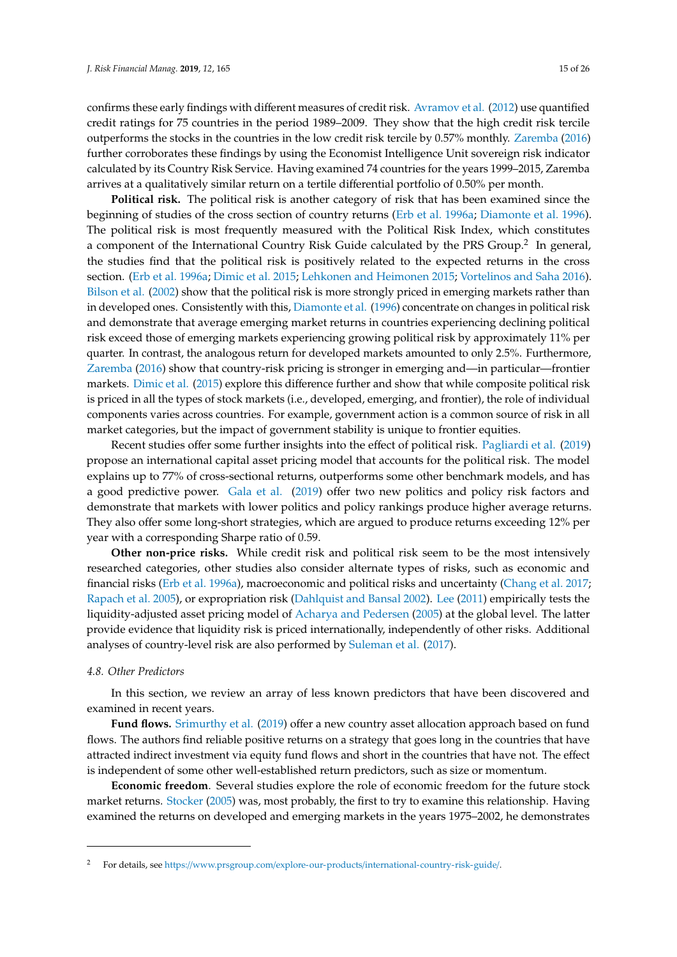confirms these early findings with different measures of credit risk. [Avramov et al.](#page-17-1) [\(2012\)](#page-17-1) use quantified credit ratings for 75 countries in the period 1989–2009. They show that the high credit risk tercile outperforms the stocks in the countries in the low credit risk tercile by 0.57% monthly. [Zaremba](#page-25-5) [\(2016\)](#page-25-5) further corroborates these findings by using the Economist Intelligence Unit sovereign risk indicator calculated by its Country Risk Service. Having examined 74 countries for the years 1999–2015, Zaremba arrives at a qualitatively similar return on a tertile differential portfolio of 0.50% per month.

**Political risk.** The political risk is another category of risk that has been examined since the beginning of studies of the cross section of country returns [\(Erb et al.](#page-20-20) [1996a;](#page-20-20) [Diamonte et al.](#page-20-22) [1996\)](#page-20-22). The political risk is most frequently measured with the Political Risk Index, which constitutes a component of the International Country Risk Guide calculated by the PRS Group.<sup>2</sup> In general, the studies find that the political risk is positively related to the expected returns in the cross section. [\(Erb et al.](#page-20-20) [1996a;](#page-20-20) [Dimic et al.](#page-20-23) [2015;](#page-20-23) [Lehkonen and Heimonen](#page-23-22) [2015;](#page-23-22) [Vortelinos and Saha](#page-24-19) [2016\)](#page-24-19). [Bilson et al.](#page-18-25) [\(2002\)](#page-18-25) show that the political risk is more strongly priced in emerging markets rather than in developed ones. Consistently with this, [Diamonte et al.](#page-20-22) [\(1996\)](#page-20-22) concentrate on changes in political risk and demonstrate that average emerging market returns in countries experiencing declining political risk exceed those of emerging markets experiencing growing political risk by approximately 11% per quarter. In contrast, the analogous return for developed markets amounted to only 2.5%. Furthermore, [Zaremba](#page-25-5) [\(2016\)](#page-25-5) show that country-risk pricing is stronger in emerging and—in particular—frontier markets. [Dimic et al.](#page-20-23) [\(2015\)](#page-20-23) explore this difference further and show that while composite political risk is priced in all the types of stock markets (i.e., developed, emerging, and frontier), the role of individual components varies across countries. For example, government action is a common source of risk in all market categories, but the impact of government stability is unique to frontier equities.

Recent studies offer some further insights into the effect of political risk. [Pagliardi et al.](#page-23-23) [\(2019\)](#page-23-23) propose an international capital asset pricing model that accounts for the political risk. The model explains up to 77% of cross-sectional returns, outperforms some other benchmark models, and has a good predictive power. [Gala et al.](#page-21-24) [\(2019\)](#page-21-24) offer two new politics and policy risk factors and demonstrate that markets with lower politics and policy rankings produce higher average returns. They also offer some long-short strategies, which are argued to produce returns exceeding 12% per year with a corresponding Sharpe ratio of 0.59.

**Other non-price risks.** While credit risk and political risk seem to be the most intensively researched categories, other studies also consider alternate types of risks, such as economic and financial risks [\(Erb et al.](#page-20-20) [1996a\)](#page-20-20), macroeconomic and political risks and uncertainty [\(Chang et al.](#page-19-16) [2017;](#page-19-16) [Rapach et al.](#page-24-20) [2005\)](#page-24-20), or expropriation risk [\(Dahlquist and Bansal](#page-19-17) [2002\)](#page-19-17). [Lee](#page-22-24) [\(2011\)](#page-22-24) empirically tests the liquidity-adjusted asset pricing model of [Acharya and Pedersen](#page-17-14) [\(2005\)](#page-17-14) at the global level. The latter provide evidence that liquidity risk is priced internationally, independently of other risks. Additional analyses of country-level risk are also performed by [Suleman et al.](#page-24-1) [\(2017\)](#page-24-1).

## *4.8. Other Predictors*

In this section, we review an array of less known predictors that have been discovered and examined in recent years.

**Fund flows.** [Srimurthy et al.](#page-24-21) [\(2019\)](#page-24-21) offer a new country asset allocation approach based on fund flows. The authors find reliable positive returns on a strategy that goes long in the countries that have attracted indirect investment via equity fund flows and short in the countries that have not. The effect is independent of some other well-established return predictors, such as size or momentum.

**Economic freedom**. Several studies explore the role of economic freedom for the future stock market returns. [Stocker](#page-24-22) [\(2005\)](#page-24-22) was, most probably, the first to try to examine this relationship. Having examined the returns on developed and emerging markets in the years 1975–2002, he demonstrates

<sup>2</sup> For details, see https://www.prsgroup.com/explore-our-products/[international-country-risk-guide](https://www.prsgroup.com/explore-our-products/international-country-risk-guide/)/.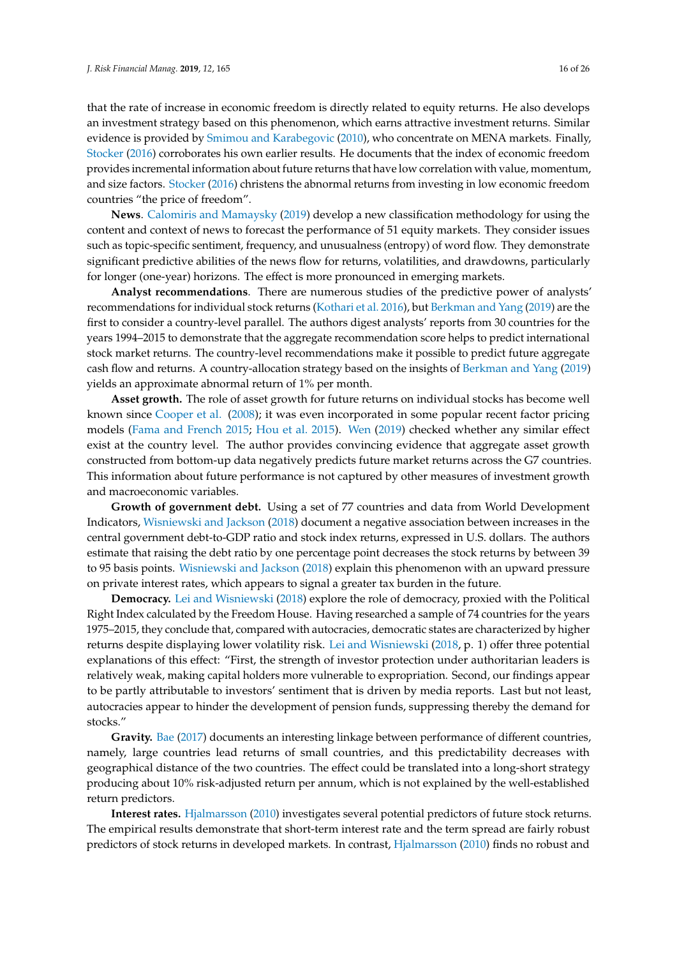that the rate of increase in economic freedom is directly related to equity returns. He also develops an investment strategy based on this phenomenon, which earns attractive investment returns. Similar evidence is provided by [Smimou and Karabegovic](#page-24-23) [\(2010\)](#page-24-23), who concentrate on MENA markets. Finally, [Stocker](#page-24-10) [\(2016\)](#page-24-10) corroborates his own earlier results. He documents that the index of economic freedom provides incremental information about future returns that have low correlation with value, momentum, and size factors. [Stocker](#page-24-10) [\(2016\)](#page-24-10) christens the abnormal returns from investing in low economic freedom countries "the price of freedom".

**News**. [Calomiris and Mamaysky](#page-19-18) [\(2019\)](#page-19-18) develop a new classification methodology for using the content and context of news to forecast the performance of 51 equity markets. They consider issues such as topic-specific sentiment, frequency, and unusualness (entropy) of word flow. They demonstrate significant predictive abilities of the news flow for returns, volatilities, and drawdowns, particularly for longer (one-year) horizons. The effect is more pronounced in emerging markets.

**Analyst recommendations**. There are numerous studies of the predictive power of analysts' recommendations for individual stock returns [\(Kothari et al.](#page-22-25) [2016\)](#page-22-25), but [Berkman and Yang](#page-18-7) [\(2019\)](#page-18-7) are the first to consider a country-level parallel. The authors digest analysts' reports from 30 countries for the years 1994–2015 to demonstrate that the aggregate recommendation score helps to predict international stock market returns. The country-level recommendations make it possible to predict future aggregate cash flow and returns. A country-allocation strategy based on the insights of [Berkman and Yang](#page-18-7) [\(2019\)](#page-18-7) yields an approximate abnormal return of 1% per month.

**Asset growth.** The role of asset growth for future returns on individual stocks has become well known since [Cooper et al.](#page-19-19) [\(2008\)](#page-19-19); it was even incorporated in some popular recent factor pricing models [\(Fama and French](#page-20-8) [2015;](#page-20-8) [Hou et al.](#page-21-25) [2015\)](#page-21-25). [Wen](#page-25-9) [\(2019\)](#page-25-9) checked whether any similar effect exist at the country level. The author provides convincing evidence that aggregate asset growth constructed from bottom-up data negatively predicts future market returns across the G7 countries. This information about future performance is not captured by other measures of investment growth and macroeconomic variables.

**Growth of government debt.** Using a set of 77 countries and data from World Development Indicators, [Wisniewski and Jackson](#page-25-3) [\(2018\)](#page-25-3) document a negative association between increases in the central government debt-to-GDP ratio and stock index returns, expressed in U.S. dollars. The authors estimate that raising the debt ratio by one percentage point decreases the stock returns by between 39 to 95 basis points. [Wisniewski and Jackson](#page-25-3) [\(2018\)](#page-25-3) explain this phenomenon with an upward pressure on private interest rates, which appears to signal a greater tax burden in the future.

**Democracy.** [Lei and Wisniewski](#page-23-24) [\(2018\)](#page-23-24) explore the role of democracy, proxied with the Political Right Index calculated by the Freedom House. Having researched a sample of 74 countries for the years 1975–2015, they conclude that, compared with autocracies, democratic states are characterized by higher returns despite displaying lower volatility risk. [Lei and Wisniewski](#page-23-24) [\(2018,](#page-23-24) p. 1) offer three potential explanations of this effect: "First, the strength of investor protection under authoritarian leaders is relatively weak, making capital holders more vulnerable to expropriation. Second, our findings appear to be partly attributable to investors' sentiment that is driven by media reports. Last but not least, autocracies appear to hinder the development of pension funds, suppressing thereby the demand for stocks."

**Gravity.** [Bae](#page-17-15) [\(2017\)](#page-17-15) documents an interesting linkage between performance of different countries, namely, large countries lead returns of small countries, and this predictability decreases with geographical distance of the two countries. The effect could be translated into a long-short strategy producing about 10% risk-adjusted return per annum, which is not explained by the well-established return predictors.

**Interest rates.** [Hjalmarsson](#page-21-7) [\(2010\)](#page-21-7) investigates several potential predictors of future stock returns. The empirical results demonstrate that short-term interest rate and the term spread are fairly robust predictors of stock returns in developed markets. In contrast, [Hjalmarsson](#page-21-7) [\(2010\)](#page-21-7) finds no robust and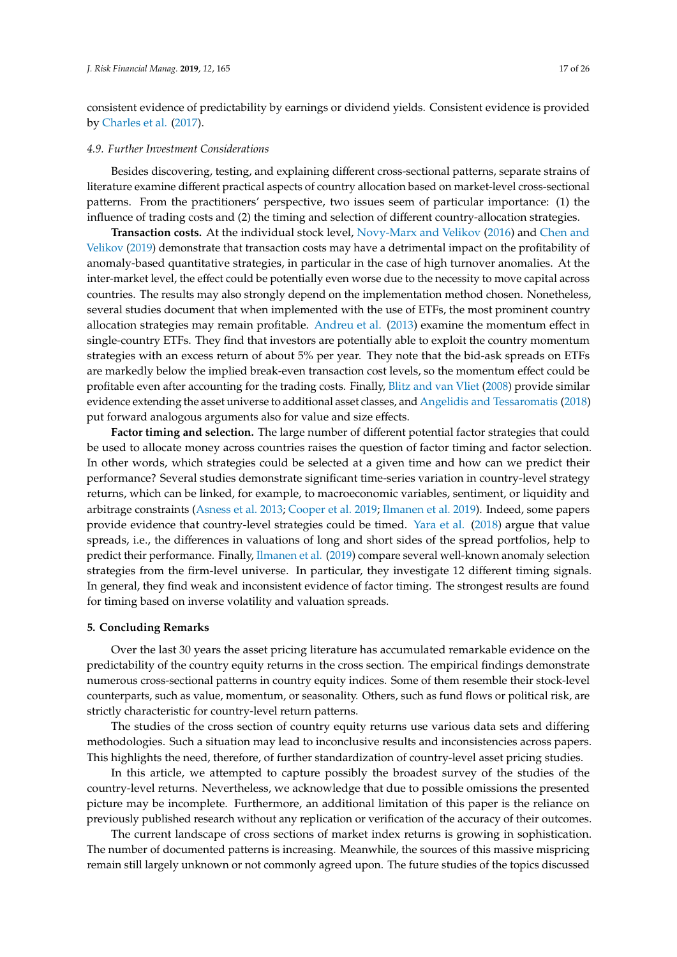consistent evidence of predictability by earnings or dividend yields. Consistent evidence is provided by [Charles et al.](#page-19-20) [\(2017\)](#page-19-20).

# *4.9. Further Investment Considerations*

Besides discovering, testing, and explaining different cross-sectional patterns, separate strains of literature examine different practical aspects of country allocation based on market-level cross-sectional patterns. From the practitioners' perspective, two issues seem of particular importance: (1) the influence of trading costs and (2) the timing and selection of different country-allocation strategies.

**Transaction costs.** At the individual stock level, [Novy-Marx and Velikov](#page-23-25) [\(2016\)](#page-23-25) and [Chen and](#page-19-21) [Velikov](#page-19-21) [\(2019\)](#page-19-21) demonstrate that transaction costs may have a detrimental impact on the profitability of anomaly-based quantitative strategies, in particular in the case of high turnover anomalies. At the inter-market level, the effect could be potentially even worse due to the necessity to move capital across countries. The results may also strongly depend on the implementation method chosen. Nonetheless, several studies document that when implemented with the use of ETFs, the most prominent country allocation strategies may remain profitable. [Andreu et al.](#page-17-5) [\(2013\)](#page-17-5) examine the momentum effect in single-country ETFs. They find that investors are potentially able to exploit the country momentum strategies with an excess return of about 5% per year. They note that the bid-ask spreads on ETFs are markedly below the implied break-even transaction cost levels, so the momentum effect could be profitable even after accounting for the trading costs. Finally, [Blitz and van Vliet](#page-18-8) [\(2008\)](#page-18-8) provide similar evidence extending the asset universe to additional asset classes, and [Angelidis and Tessaromatis](#page-17-2) [\(2018\)](#page-17-2) put forward analogous arguments also for value and size effects.

**Factor timing and selection.** The large number of different potential factor strategies that could be used to allocate money across countries raises the question of factor timing and factor selection. In other words, which strategies could be selected at a given time and how can we predict their performance? Several studies demonstrate significant time-series variation in country-level strategy returns, which can be linked, for example, to macroeconomic variables, sentiment, or liquidity and arbitrage constraints [\(Asness et al.](#page-17-4) [2013;](#page-17-4) [Cooper et al.](#page-19-10) [2019;](#page-19-10) [Ilmanen et al.](#page-22-3) [2019\)](#page-22-3). Indeed, some papers provide evidence that country-level strategies could be timed. [Yara et al.](#page-25-10) [\(2018\)](#page-25-10) argue that value spreads, i.e., the differences in valuations of long and short sides of the spread portfolios, help to predict their performance. Finally, [Ilmanen et al.](#page-22-3) [\(2019\)](#page-22-3) compare several well-known anomaly selection strategies from the firm-level universe. In particular, they investigate 12 different timing signals. In general, they find weak and inconsistent evidence of factor timing. The strongest results are found for timing based on inverse volatility and valuation spreads.

# <span id="page-16-0"></span>**5. Concluding Remarks**

Over the last 30 years the asset pricing literature has accumulated remarkable evidence on the predictability of the country equity returns in the cross section. The empirical findings demonstrate numerous cross-sectional patterns in country equity indices. Some of them resemble their stock-level counterparts, such as value, momentum, or seasonality. Others, such as fund flows or political risk, are strictly characteristic for country-level return patterns.

The studies of the cross section of country equity returns use various data sets and differing methodologies. Such a situation may lead to inconclusive results and inconsistencies across papers. This highlights the need, therefore, of further standardization of country-level asset pricing studies.

In this article, we attempted to capture possibly the broadest survey of the studies of the country-level returns. Nevertheless, we acknowledge that due to possible omissions the presented picture may be incomplete. Furthermore, an additional limitation of this paper is the reliance on previously published research without any replication or verification of the accuracy of their outcomes.

The current landscape of cross sections of market index returns is growing in sophistication. The number of documented patterns is increasing. Meanwhile, the sources of this massive mispricing remain still largely unknown or not commonly agreed upon. The future studies of the topics discussed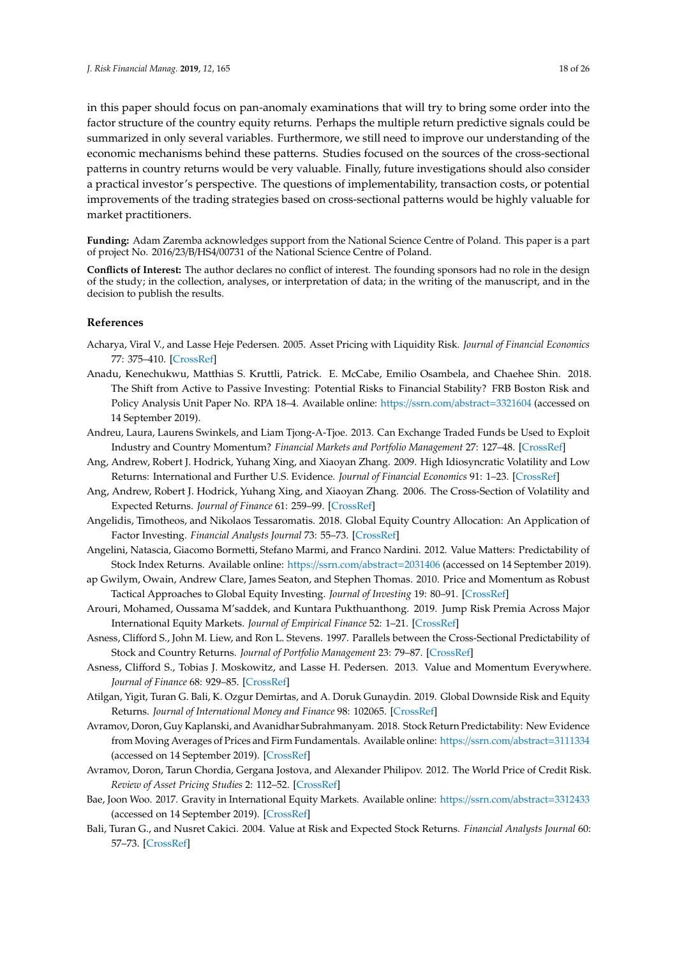in this paper should focus on pan-anomaly examinations that will try to bring some order into the factor structure of the country equity returns. Perhaps the multiple return predictive signals could be summarized in only several variables. Furthermore, we still need to improve our understanding of the economic mechanisms behind these patterns. Studies focused on the sources of the cross-sectional patterns in country returns would be very valuable. Finally, future investigations should also consider a practical investor's perspective. The questions of implementability, transaction costs, or potential improvements of the trading strategies based on cross-sectional patterns would be highly valuable for market practitioners.

**Funding:** Adam Zaremba acknowledges support from the National Science Centre of Poland. This paper is a part of project No. 2016/23/B/HS4/00731 of the National Science Centre of Poland.

**Conflicts of Interest:** The author declares no conflict of interest. The founding sponsors had no role in the design of the study; in the collection, analyses, or interpretation of data; in the writing of the manuscript, and in the decision to publish the results.

# **References**

- <span id="page-17-14"></span>Acharya, Viral V., and Lasse Heje Pedersen. 2005. Asset Pricing with Liquidity Risk. *Journal of Financial Economics* 77: 375–410. [\[CrossRef\]](http://dx.doi.org/10.1016/j.jfineco.2004.06.007)
- <span id="page-17-0"></span>Anadu, Kenechukwu, Matthias S. Kruttli, Patrick. E. McCabe, Emilio Osambela, and Chaehee Shin. 2018. The Shift from Active to Passive Investing: Potential Risks to Financial Stability? FRB Boston Risk and Policy Analysis Unit Paper No. RPA 18–4. Available online: https://[ssrn.com](https://ssrn.com/abstract=3321604)/abstract=3321604 (accessed on 14 September 2019).
- <span id="page-17-5"></span>Andreu, Laura, Laurens Swinkels, and Liam Tjong-A-Tjoe. 2013. Can Exchange Traded Funds be Used to Exploit Industry and Country Momentum? *Financial Markets and Portfolio Management* 27: 127–48. [\[CrossRef\]](http://dx.doi.org/10.1007/s11408-013-0207-8)
- <span id="page-17-11"></span>Ang, Andrew, Robert J. Hodrick, Yuhang Xing, and Xiaoyan Zhang. 2009. High Idiosyncratic Volatility and Low Returns: International and Further U.S. Evidence. *Journal of Financial Economics* 91: 1–23. [\[CrossRef\]](http://dx.doi.org/10.1016/j.jfineco.2007.12.005)
- <span id="page-17-10"></span>Ang, Andrew, Robert J. Hodrick, Yuhang Xing, and Xiaoyan Zhang. 2006. The Cross-Section of Volatility and Expected Returns. *Journal of Finance* 61: 259–99. [\[CrossRef\]](http://dx.doi.org/10.1111/j.1540-6261.2006.00836.x)
- <span id="page-17-2"></span>Angelidis, Timotheos, and Nikolaos Tessaromatis. 2018. Global Equity Country Allocation: An Application of Factor Investing. *Financial Analysts Journal* 73: 55–73. [\[CrossRef\]](http://dx.doi.org/10.2469/faj.v73.n4.7)
- <span id="page-17-9"></span>Angelini, Natascia, Giacomo Bormetti, Stefano Marmi, and Franco Nardini. 2012. Value Matters: Predictability of Stock Index Returns. Available online: https://[ssrn.com](https://ssrn.com/abstract=2031406)/abstract=2031406 (accessed on 14 September 2019).
- <span id="page-17-3"></span>ap Gwilym, Owain, Andrew Clare, James Seaton, and Stephen Thomas. 2010. Price and Momentum as Robust Tactical Approaches to Global Equity Investing. *Journal of Investing* 19: 80–91. [\[CrossRef\]](http://dx.doi.org/10.3905/joi.2010.19.3.080)
- <span id="page-17-13"></span>Arouri, Mohamed, Oussama M'saddek, and Kuntara Pukthuanthong. 2019. Jump Risk Premia Across Major International Equity Markets. *Journal of Empirical Finance* 52: 1–21. [\[CrossRef\]](http://dx.doi.org/10.1016/j.jempfin.2019.02.004)
- <span id="page-17-7"></span>Asness, Clifford S., John M. Liew, and Ron L. Stevens. 1997. Parallels between the Cross-Sectional Predictability of Stock and Country Returns. *Journal of Portfolio Management* 23: 79–87. [\[CrossRef\]](http://dx.doi.org/10.3905/jpm.1997.409606)
- <span id="page-17-4"></span>Asness, Clifford S., Tobias J. Moskowitz, and Lasse H. Pedersen. 2013. Value and Momentum Everywhere. *Journal of Finance* 68: 929–85. [\[CrossRef\]](http://dx.doi.org/10.1111/jofi.12021)
- <span id="page-17-6"></span>Atilgan, Yigit, Turan G. Bali, K. Ozgur Demirtas, and A. Doruk Gunaydin. 2019. Global Downside Risk and Equity Returns. *Journal of International Money and Finance* 98: 102065. [\[CrossRef\]](http://dx.doi.org/10.1016/j.jimonfin.2019.102065)
- <span id="page-17-8"></span>Avramov, Doron, Guy Kaplanski, and Avanidhar Subrahmanyam. 2018. Stock Return Predictability: New Evidence from Moving Averages of Prices and Firm Fundamentals. Available online: https://[ssrn.com](https://ssrn.com/abstract=3111334)/abstract=3111334 (accessed on 14 September 2019). [\[CrossRef\]](http://dx.doi.org/10.2139/ssrn.3111334)
- <span id="page-17-1"></span>Avramov, Doron, Tarun Chordia, Gergana Jostova, and Alexander Philipov. 2012. The World Price of Credit Risk. *Review of Asset Pricing Studies* 2: 112–52. [\[CrossRef\]](http://dx.doi.org/10.1093/rapstu/ras012)
- <span id="page-17-15"></span>Bae, Joon Woo. 2017. Gravity in International Equity Markets. Available online: https://[ssrn.com](https://ssrn.com/abstract=3312433)/abstract=3312433 (accessed on 14 September 2019). [\[CrossRef\]](http://dx.doi.org/10.2139/ssrn.3312433)
- <span id="page-17-12"></span>Bali, Turan G., and Nusret Cakici. 2004. Value at Risk and Expected Stock Returns. *Financial Analysts Journal* 60: 57–73. [\[CrossRef\]](http://dx.doi.org/10.2469/faj.v60.n2.2610)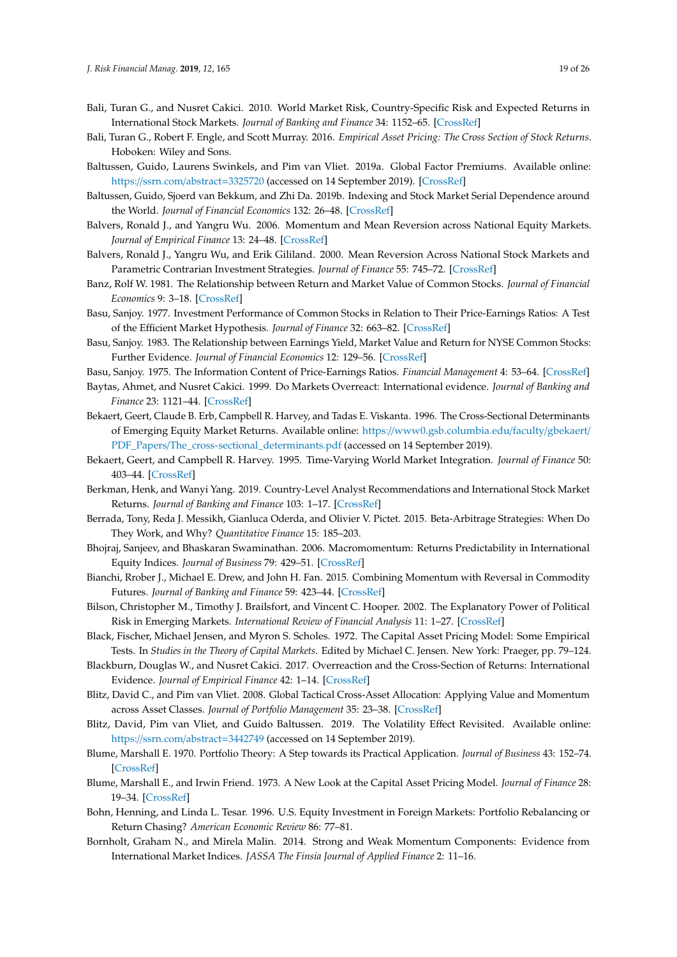- <span id="page-18-1"></span>Bali, Turan G., and Nusret Cakici. 2010. World Market Risk, Country-Specific Risk and Expected Returns in International Stock Markets. *Journal of Banking and Finance* 34: 1152–65. [\[CrossRef\]](http://dx.doi.org/10.1016/j.jbankfin.2009.11.012)
- <span id="page-18-0"></span>Bali, Turan G., Robert F. Engle, and Scott Murray. 2016. *Empirical Asset Pricing: The Cross Section of Stock Returns*. Hoboken: Wiley and Sons.
- <span id="page-18-2"></span>Baltussen, Guido, Laurens Swinkels, and Pim van Vliet. 2019a. Global Factor Premiums. Available online: https://[ssrn.com](https://ssrn.com/abstract=3325720)/abstract=3325720 (accessed on 14 September 2019). [\[CrossRef\]](http://dx.doi.org/10.2139/ssrn.3325720)
- <span id="page-18-9"></span>Baltussen, Guido, Sjoerd van Bekkum, and Zhi Da. 2019b. Indexing and Stock Market Serial Dependence around the World. *Journal of Financial Economics* 132: 26–48. [\[CrossRef\]](http://dx.doi.org/10.1016/j.jfineco.2018.07.016)
- <span id="page-18-3"></span>Balvers, Ronald J., and Yangru Wu. 2006. Momentum and Mean Reversion across National Equity Markets. *Journal of Empirical Finance* 13: 24–48. [\[CrossRef\]](http://dx.doi.org/10.1016/j.jempfin.2005.05.001)
- <span id="page-18-4"></span>Balvers, Ronald J., Yangru Wu, and Erik Gililand. 2000. Mean Reversion Across National Stock Markets and Parametric Contrarian Investment Strategies. *Journal of Finance* 55: 745–72. [\[CrossRef\]](http://dx.doi.org/10.1111/0022-1082.00225)
- <span id="page-18-10"></span>Banz, Rolf W. 1981. The Relationship between Return and Market Value of Common Stocks. *Journal of Financial Economics* 9: 3–18. [\[CrossRef\]](http://dx.doi.org/10.1016/0304-405X(81)90018-0)
- <span id="page-18-14"></span>Basu, Sanjoy. 1977. Investment Performance of Common Stocks in Relation to Their Price-Earnings Ratios: A Test of the Efficient Market Hypothesis. *Journal of Finance* 32: 663–82. [\[CrossRef\]](http://dx.doi.org/10.1111/j.1540-6261.1977.tb01979.x)
- <span id="page-18-15"></span>Basu, Sanjoy. 1983. The Relationship between Earnings Yield, Market Value and Return for NYSE Common Stocks: Further Evidence. *Journal of Financial Economics* 12: 129–56. [\[CrossRef\]](http://dx.doi.org/10.1016/0304-405X(83)90031-4)
- <span id="page-18-13"></span>Basu, Sanjoy. 1975. The Information Content of Price-Earnings Ratios. *Financial Management* 4: 53–64. [\[CrossRef\]](http://dx.doi.org/10.2307/3665200)
- <span id="page-18-16"></span>Baytas, Ahmet, and Nusret Cakici. 1999. Do Markets Overreact: International evidence. *Journal of Banking and Finance* 23: 1121–44. [\[CrossRef\]](http://dx.doi.org/10.1016/S0378-4266(98)00133-2)
- <span id="page-18-24"></span>Bekaert, Geert, Claude B. Erb, Campbell R. Harvey, and Tadas E. Viskanta. 1996. The Cross-Sectional Determinants of Emerging Equity Market Returns. Available online: https://[www0.gsb.columbia.edu](https://www0.gsb.columbia.edu/faculty/gbekaert/PDF_Papers/The_cross-sectional_determinants.pdf)/faculty/gbekaert/ PDF\_Papers/[The\\_cross-sectional\\_determinants.pdf](https://www0.gsb.columbia.edu/faculty/gbekaert/PDF_Papers/The_cross-sectional_determinants.pdf) (accessed on 14 September 2019).
- <span id="page-18-23"></span>Bekaert, Geert, and Campbell R. Harvey. 1995. Time-Varying World Market Integration. *Journal of Finance* 50: 403–44. [\[CrossRef\]](http://dx.doi.org/10.1111/j.1540-6261.1995.tb04790.x)
- <span id="page-18-7"></span>Berkman, Henk, and Wanyi Yang. 2019. Country-Level Analyst Recommendations and International Stock Market Returns. *Journal of Banking and Finance* 103: 1–17. [\[CrossRef\]](http://dx.doi.org/10.1016/j.jbankfin.2019.03.018)
- <span id="page-18-5"></span>Berrada, Tony, Reda J. Messikh, Gianluca Oderda, and Olivier V. Pictet. 2015. Beta-Arbitrage Strategies: When Do They Work, and Why? *Quantitative Finance* 15: 185–203.
- <span id="page-18-6"></span>Bhojraj, Sanjeev, and Bhaskaran Swaminathan. 2006. Macromomentum: Returns Predictability in International Equity Indices. *Journal of Business* 79: 429–51. [\[CrossRef\]](http://dx.doi.org/10.1086/497416)
- <span id="page-18-18"></span>Bianchi, Rrober J., Michael E. Drew, and John H. Fan. 2015. Combining Momentum with Reversal in Commodity Futures. *Journal of Banking and Finance* 59: 423–44. [\[CrossRef\]](http://dx.doi.org/10.1016/j.jbankfin.2015.07.006)
- <span id="page-18-25"></span>Bilson, Christopher M., Timothy J. Brailsfort, and Vincent C. Hooper. 2002. The Explanatory Power of Political Risk in Emerging Markets. *International Review of Financial Analysis* 11: 1–27. [\[CrossRef\]](http://dx.doi.org/10.1016/S1057-5219(01)00067-9)
- <span id="page-18-19"></span>Black, Fischer, Michael Jensen, and Myron S. Scholes. 1972. The Capital Asset Pricing Model: Some Empirical Tests. In *Studies in the Theory of Capital Markets*. Edited by Michael C. Jensen. New York: Praeger, pp. 79–124.
- <span id="page-18-17"></span>Blackburn, Douglas W., and Nusret Cakici. 2017. Overreaction and the Cross-Section of Returns: International Evidence. *Journal of Empirical Finance* 42: 1–14. [\[CrossRef\]](http://dx.doi.org/10.1016/j.jempfin.2017.02.001)
- <span id="page-18-8"></span>Blitz, David C., and Pim van Vliet. 2008. Global Tactical Cross-Asset Allocation: Applying Value and Momentum across Asset Classes. *Journal of Portfolio Management* 35: 23–38. [\[CrossRef\]](http://dx.doi.org/10.3905/JPM.2008.35.1.23)
- <span id="page-18-22"></span>Blitz, David, Pim van Vliet, and Guido Baltussen. 2019. The Volatility Effect Revisited. Available online: https://[ssrn.com](https://ssrn.com/abstract=3442749)/abstract=3442749 (accessed on 14 September 2019).
- <span id="page-18-20"></span>Blume, Marshall E. 1970. Portfolio Theory: A Step towards its Practical Application. *Journal of Business* 43: 152–74. [\[CrossRef\]](http://dx.doi.org/10.1086/295262)
- <span id="page-18-21"></span>Blume, Marshall E., and Irwin Friend. 1973. A New Look at the Capital Asset Pricing Model. *Journal of Finance* 28: 19–34. [\[CrossRef\]](http://dx.doi.org/10.1111/j.1540-6261.1973.tb01342.x)
- <span id="page-18-12"></span>Bohn, Henning, and Linda L. Tesar. 1996. U.S. Equity Investment in Foreign Markets: Portfolio Rebalancing or Return Chasing? *American Economic Review* 86: 77–81.
- <span id="page-18-11"></span>Bornholt, Graham N., and Mirela Malin. 2014. Strong and Weak Momentum Components: Evidence from International Market Indices. *JASSA The Finsia Journal of Applied Finance* 2: 11–16.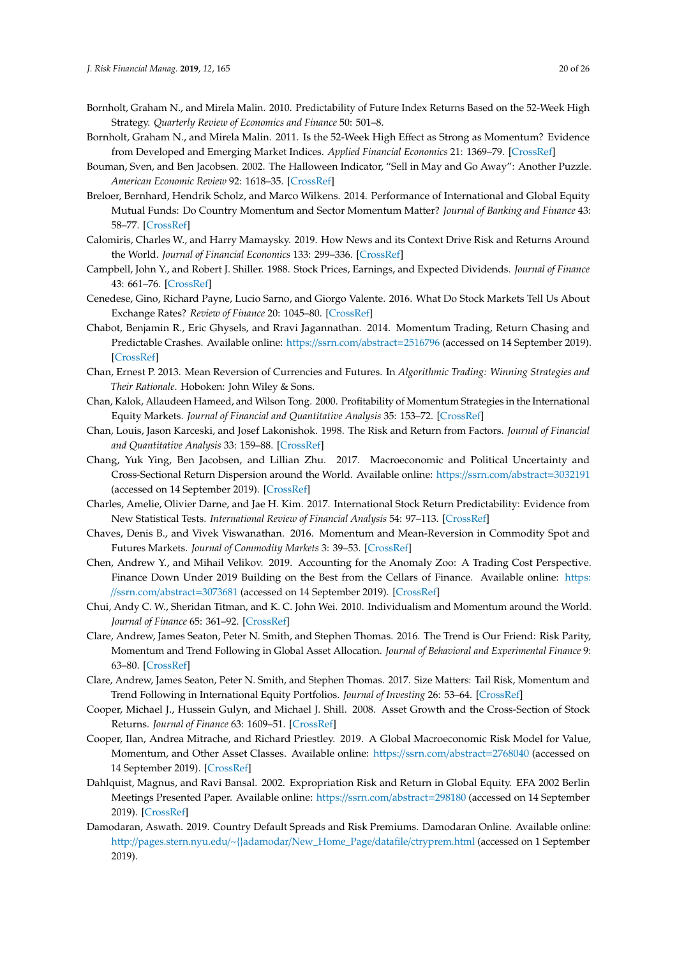- <span id="page-19-7"></span>Bornholt, Graham N., and Mirela Malin. 2010. Predictability of Future Index Returns Based on the 52-Week High Strategy. *Quarterly Review of Economics and Finance* 50: 501–8.
- <span id="page-19-8"></span>Bornholt, Graham N., and Mirela Malin. 2011. Is the 52-Week High Effect as Strong as Momentum? Evidence from Developed and Emerging Market Indices. *Applied Financial Economics* 21: 1369–79. [\[CrossRef\]](http://dx.doi.org/10.1080/09603107.2011.572848)
- <span id="page-19-14"></span>Bouman, Sven, and Ben Jacobsen. 2002. The Halloween Indicator, "Sell in May and Go Away": Another Puzzle. *American Economic Review* 92: 1618–35. [\[CrossRef\]](http://dx.doi.org/10.1257/000282802762024683)
- <span id="page-19-4"></span>Breloer, Bernhard, Hendrik Scholz, and Marco Wilkens. 2014. Performance of International and Global Equity Mutual Funds: Do Country Momentum and Sector Momentum Matter? *Journal of Banking and Finance* 43: 58–77. [\[CrossRef\]](http://dx.doi.org/10.1016/j.jbankfin.2014.01.041)
- <span id="page-19-18"></span>Calomiris, Charles W., and Harry Mamaysky. 2019. How News and its Context Drive Risk and Returns Around the World. *Journal of Financial Economics* 133: 299–336. [\[CrossRef\]](http://dx.doi.org/10.1016/j.jfineco.2018.11.009)
- <span id="page-19-11"></span>Campbell, John Y., and Robert J. Shiller. 1988. Stock Prices, Earnings, and Expected Dividends. *Journal of Finance* 43: 661–76. [\[CrossRef\]](http://dx.doi.org/10.1111/j.1540-6261.1988.tb04598.x)
- <span id="page-19-1"></span>Cenedese, Gino, Richard Payne, Lucio Sarno, and Giorgo Valente. 2016. What Do Stock Markets Tell Us About Exchange Rates? *Review of Finance* 20: 1045–80. [\[CrossRef\]](http://dx.doi.org/10.1093/rof/rfv032)
- <span id="page-19-9"></span>Chabot, Benjamin R., Eric Ghysels, and Rravi Jagannathan. 2014. Momentum Trading, Return Chasing and Predictable Crashes. Available online: https://[ssrn.com](https://ssrn.com/abstract=2516796)/abstract=2516796 (accessed on 14 September 2019). [\[CrossRef\]](http://dx.doi.org/10.2139/ssrn.2516796)
- <span id="page-19-12"></span>Chan, Ernest P. 2013. Mean Reversion of Currencies and Futures. In *Algorithmic Trading: Winning Strategies and Their Rationale*. Hoboken: John Wiley & Sons.
- <span id="page-19-2"></span>Chan, Kalok, Allaudeen Hameed, and Wilson Tong. 2000. Profitability of Momentum Strategies in the International Equity Markets. *Journal of Financial and Quantitative Analysis* 35: 153–72. [\[CrossRef\]](http://dx.doi.org/10.2307/2676188)
- <span id="page-19-5"></span>Chan, Louis, Jason Karceski, and Josef Lakonishok. 1998. The Risk and Return from Factors. *Journal of Financial and Quantitative Analysis* 33: 159–88. [\[CrossRef\]](http://dx.doi.org/10.2307/2331306)
- <span id="page-19-16"></span>Chang, Yuk Ying, Ben Jacobsen, and Lillian Zhu. 2017. Macroeconomic and Political Uncertainty and Cross-Sectional Return Dispersion around the World. Available online: https://[ssrn.com](https://ssrn.com/abstract=3032191)/abstract=3032191 (accessed on 14 September 2019). [\[CrossRef\]](http://dx.doi.org/10.2139/ssrn.3032191)
- <span id="page-19-20"></span>Charles, Amelie, Olivier Darne, and Jae H. Kim. 2017. International Stock Return Predictability: Evidence from New Statistical Tests. *International Review of Financial Analysis* 54: 97–113. [\[CrossRef\]](http://dx.doi.org/10.1016/j.irfa.2016.06.005)
- <span id="page-19-13"></span>Chaves, Denis B., and Vivek Viswanathan. 2016. Momentum and Mean-Reversion in Commodity Spot and Futures Markets. *Journal of Commodity Markets* 3: 39–53. [\[CrossRef\]](http://dx.doi.org/10.1016/j.jcomm.2016.08.001)
- <span id="page-19-21"></span>Chen, Andrew Y., and Mihail Velikov. 2019. Accounting for the Anomaly Zoo: A Trading Cost Perspective. Finance Down Under 2019 Building on the Best from the Cellars of Finance. Available online: [https:](https://ssrn.com/abstract=3073681) //[ssrn.com](https://ssrn.com/abstract=3073681)/abstract=3073681 (accessed on 14 September 2019). [\[CrossRef\]](http://dx.doi.org/10.1016/j.jcomm.2016.08.001)
- <span id="page-19-3"></span>Chui, Andy C. W., Sheridan Titman, and K. C. John Wei. 2010. Individualism and Momentum around the World. *Journal of Finance* 65: 361–92. [\[CrossRef\]](http://dx.doi.org/10.1111/j.1540-6261.2009.01532.x)
- <span id="page-19-0"></span>Clare, Andrew, James Seaton, Peter N. Smith, and Stephen Thomas. 2016. The Trend is Our Friend: Risk Parity, Momentum and Trend Following in Global Asset Allocation. *Journal of Behavioral and Experimental Finance* 9: 63–80. [\[CrossRef\]](http://dx.doi.org/10.1016/j.jbef.2016.01.002)
- <span id="page-19-6"></span>Clare, Andrew, James Seaton, Peter N. Smith, and Stephen Thomas. 2017. Size Matters: Tail Risk, Momentum and Trend Following in International Equity Portfolios. *Journal of Investing* 26: 53–64. [\[CrossRef\]](http://dx.doi.org/10.3905/joi.2017.26.3.053)
- <span id="page-19-19"></span>Cooper, Michael J., Hussein Gulyn, and Michael J. Shill. 2008. Asset Growth and the Cross-Section of Stock Returns. *Journal of Finance* 63: 1609–51. [\[CrossRef\]](http://dx.doi.org/10.1111/j.1540-6261.2008.01370.x)
- <span id="page-19-10"></span>Cooper, Ilan, Andrea Mitrache, and Richard Priestley. 2019. A Global Macroeconomic Risk Model for Value, Momentum, and Other Asset Classes. Available online: https://[ssrn.com](https://ssrn.com/abstract=2768040)/abstract=2768040 (accessed on 14 September 2019). [\[CrossRef\]](http://dx.doi.org/10.2139/ssrn.2768040)
- <span id="page-19-17"></span>Dahlquist, Magnus, and Ravi Bansal. 2002. Expropriation Risk and Return in Global Equity. EFA 2002 Berlin Meetings Presented Paper. Available online: https://[ssrn.com](https://ssrn.com/abstract=298180)/abstract=298180 (accessed on 14 September 2019). [\[CrossRef\]](http://dx.doi.org/10.2139/ssrn.298180)
- <span id="page-19-15"></span>Damodaran, Aswath. 2019. Country Default Spreads and Risk Premiums. Damodaran Online. Available online: http://[pages.stern.nyu.edu](http://pages.stern.nyu.edu/~{}adamodar/New_Home_Page/datafile/ctryprem.html)/~{}adamodar/New\_Home\_Page/datafile/ctryprem.html (accessed on 1 September 2019).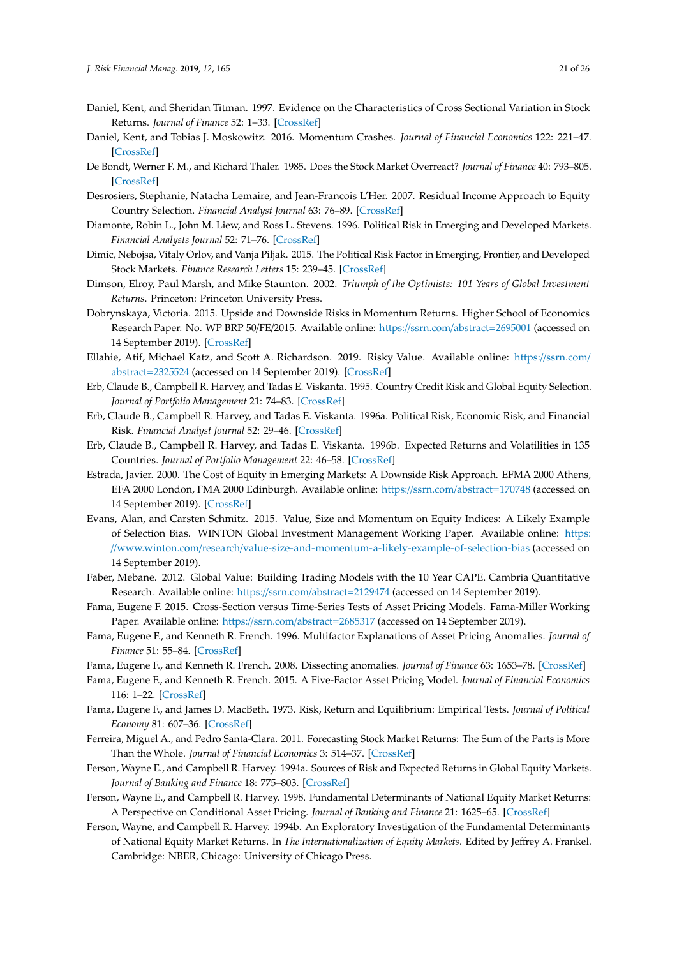- <span id="page-20-15"></span>Daniel, Kent, and Sheridan Titman. 1997. Evidence on the Characteristics of Cross Sectional Variation in Stock Returns. *Journal of Finance* 52: 1–33. [\[CrossRef\]](http://dx.doi.org/10.1111/j.1540-6261.1997.tb03806.x)
- <span id="page-20-1"></span>Daniel, Kent, and Tobias J. Moskowitz. 2016. Momentum Crashes. *Journal of Financial Economics* 122: 221–47. [\[CrossRef\]](http://dx.doi.org/10.1016/j.jfineco.2015.12.002)
- <span id="page-20-19"></span>De Bondt, Werner F. M., and Richard Thaler. 1985. Does the Stock Market Overreact? *Journal of Finance* 40: 793–805. [\[CrossRef\]](http://dx.doi.org/10.1111/j.1540-6261.1985.tb05004.x)
- <span id="page-20-2"></span>Desrosiers, Stephanie, Natacha Lemaire, and Jean-Francois L'Her. 2007. Residual Income Approach to Equity Country Selection. *Financial Analyst Journal* 63: 76–89. [\[CrossRef\]](http://dx.doi.org/10.2469/faj.v63.n2.4523)
- <span id="page-20-22"></span>Diamonte, Robin L., John M. Liew, and Ross L. Stevens. 1996. Political Risk in Emerging and Developed Markets. *Financial Analysts Journal* 52: 71–76. [\[CrossRef\]](http://dx.doi.org/10.2469/faj.v52.n3.1998)
- <span id="page-20-23"></span>Dimic, Nebojsa, Vitaly Orlov, and Vanja Piljak. 2015. The Political Risk Factor in Emerging, Frontier, and Developed Stock Markets. *Finance Research Letters* 15: 239–45. [\[CrossRef\]](http://dx.doi.org/10.1016/j.frl.2015.10.007)
- <span id="page-20-7"></span>Dimson, Elroy, Paul Marsh, and Mike Staunton. 2002. *Triumph of the Optimists: 101 Years of Global Investment Returns*. Princeton: Princeton University Press.
- <span id="page-20-3"></span>Dobrynskaya, Victoria. 2015. Upside and Downside Risks in Momentum Returns. Higher School of Economics Research Paper. No. WP BRP 50/FE/2015. Available online: https://[ssrn.com](https://ssrn.com/abstract=2695001)/abstract=2695001 (accessed on 14 September 2019). [\[CrossRef\]](http://dx.doi.org/10.2139/ssrn.2695001)
- <span id="page-20-4"></span>Ellahie, Atif, Michael Katz, and Scott A. Richardson. 2019. Risky Value. Available online: https://[ssrn.com](https://ssrn.com/abstract=2325524)/ abstract=[2325524](https://ssrn.com/abstract=2325524) (accessed on 14 September 2019). [\[CrossRef\]](http://dx.doi.org/10.2139/ssrn.2325524)
- <span id="page-20-5"></span>Erb, Claude B., Campbell R. Harvey, and Tadas E. Viskanta. 1995. Country Credit Risk and Global Equity Selection. *Journal of Portfolio Management* 21: 74–83. [\[CrossRef\]](http://dx.doi.org/10.3905/jpm.1995.409504)
- <span id="page-20-20"></span>Erb, Claude B., Campbell R. Harvey, and Tadas E. Viskanta. 1996a. Political Risk, Economic Risk, and Financial Risk. *Financial Analyst Journal* 52: 29–46. [\[CrossRef\]](http://dx.doi.org/10.2469/faj.v52.n6.2038)
- <span id="page-20-21"></span>Erb, Claude B., Campbell R. Harvey, and Tadas E. Viskanta. 1996b. Expected Returns and Volatilities in 135 Countries. *Journal of Portfolio Management* 22: 46–58. [\[CrossRef\]](http://dx.doi.org/10.3905/jpm.1996.409554)
- <span id="page-20-6"></span>Estrada, Javier. 2000. The Cost of Equity in Emerging Markets: A Downside Risk Approach. EFMA 2000 Athens, EFA 2000 London, FMA 2000 Edinburgh. Available online: https://[ssrn.com](https://ssrn.com/abstract=170748)/abstract=170748 (accessed on 14 September 2019). [\[CrossRef\]](http://dx.doi.org/10.2139/ssrn.170748)
- <span id="page-20-14"></span>Evans, Alan, and Carsten Schmitz. 2015. Value, Size and Momentum on Equity Indices: A Likely Example of Selection Bias. WINTON Global Investment Management Working Paper. Available online: [https:](https://www.winton.com/research/value-size-and-momentum-a-likely-example-of-selection-bias) //www.winton.com/research/[value-size-and-momentum-a-likely-example-of-selection-bias](https://www.winton.com/research/value-size-and-momentum-a-likely-example-of-selection-bias) (accessed on 14 September 2019).
- <span id="page-20-16"></span>Faber, Mebane. 2012. Global Value: Building Trading Models with the 10 Year CAPE. Cambria Quantitative Research. Available online: https://[ssrn.com](https://ssrn.com/abstract=2129474)/abstract=2129474 (accessed on 14 September 2019).
- <span id="page-20-10"></span>Fama, Eugene F. 2015. Cross-Section versus Time-Series Tests of Asset Pricing Models. Fama-Miller Working Paper. Available online: https://[ssrn.com](https://ssrn.com/abstract=2685317)/abstract=2685317 (accessed on 14 September 2019).
- <span id="page-20-13"></span>Fama, Eugene F., and Kenneth R. French. 1996. Multifactor Explanations of Asset Pricing Anomalies. *Journal of Finance* 51: 55–84. [\[CrossRef\]](http://dx.doi.org/10.1111/j.1540-6261.1996.tb05202.x)
- <span id="page-20-11"></span>Fama, Eugene F., and Kenneth R. French. 2008. Dissecting anomalies. *Journal of Finance* 63: 1653–78. [\[CrossRef\]](http://dx.doi.org/10.1111/j.1540-6261.2008.01371.x)
- <span id="page-20-8"></span>Fama, Eugene F., and Kenneth R. French. 2015. A Five-Factor Asset Pricing Model. *Journal of Financial Economics* 116: 1–22. [\[CrossRef\]](http://dx.doi.org/10.1016/j.jfineco.2014.10.010)
- <span id="page-20-12"></span>Fama, Eugene F., and James D. MacBeth. 1973. Risk, Return and Equilibrium: Empirical Tests. *Journal of Political Economy* 81: 607–36. [\[CrossRef\]](http://dx.doi.org/10.1086/260061)
- <span id="page-20-18"></span>Ferreira, Miguel A., and Pedro Santa-Clara. 2011. Forecasting Stock Market Returns: The Sum of the Parts is More Than the Whole. *Journal of Financial Economics* 3: 514–37. [\[CrossRef\]](http://dx.doi.org/10.1016/j.jfineco.2011.02.003)
- <span id="page-20-0"></span>Ferson, Wayne E., and Campbell R. Harvey. 1994a. Sources of Risk and Expected Returns in Global Equity Markets. *Journal of Banking and Finance* 18: 775–803. [\[CrossRef\]](http://dx.doi.org/10.1016/0378-4266(93)00020-P)
- <span id="page-20-17"></span>Ferson, Wayne E., and Campbell R. Harvey. 1998. Fundamental Determinants of National Equity Market Returns: A Perspective on Conditional Asset Pricing. *Journal of Banking and Finance* 21: 1625–65. [\[CrossRef\]](http://dx.doi.org/10.1016/S0378-4266(97)00044-7)
- <span id="page-20-9"></span>Ferson, Wayne, and Campbell R. Harvey. 1994b. An Exploratory Investigation of the Fundamental Determinants of National Equity Market Returns. In *The Internationalization of Equity Markets*. Edited by Jeffrey A. Frankel. Cambridge: NBER, Chicago: University of Chicago Press.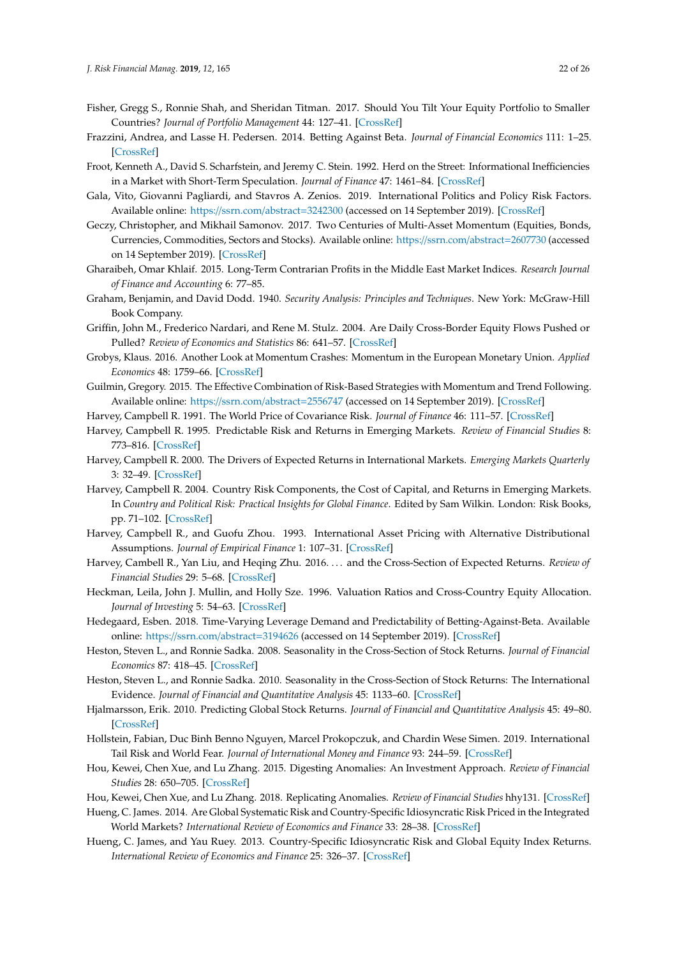- <span id="page-21-2"></span>Fisher, Gregg S., Ronnie Shah, and Sheridan Titman. 2017. Should You Tilt Your Equity Portfolio to Smaller Countries? *Journal of Portfolio Management* 44: 127–41. [\[CrossRef\]](http://dx.doi.org/10.3905/jpm.2017.44.1.127)
- <span id="page-21-16"></span>Frazzini, Andrea, and Lasse H. Pedersen. 2014. Betting Against Beta. *Journal of Financial Economics* 111: 1–25. [\[CrossRef\]](http://dx.doi.org/10.1016/j.jfineco.2013.10.005)
- <span id="page-21-8"></span>Froot, Kenneth A., David S. Scharfstein, and Jeremy C. Stein. 1992. Herd on the Street: Informational Inefficiencies in a Market with Short-Term Speculation. *Journal of Finance* 47: 1461–84. [\[CrossRef\]](http://dx.doi.org/10.1111/j.1540-6261.1992.tb04665.x)
- <span id="page-21-24"></span>Gala, Vito, Giovanni Pagliardi, and Stavros A. Zenios. 2019. International Politics and Policy Risk Factors. Available online: https://[ssrn.com](https://ssrn.com/abstract=3242300)/abstract=3242300 (accessed on 14 September 2019). [\[CrossRef\]](http://dx.doi.org/10.2139/ssrn.3242300)
- <span id="page-21-3"></span>Geczy, Christopher, and Mikhail Samonov. 2017. Two Centuries of Multi-Asset Momentum (Equities, Bonds, Currencies, Commodities, Sectors and Stocks). Available online: https://[ssrn.com](https://ssrn.com/abstract=2607730)/abstract=2607730 (accessed on 14 September 2019). [\[CrossRef\]](http://dx.doi.org/10.2139/ssrn.2607730)
- <span id="page-21-15"></span>Gharaibeh, Omar Khlaif. 2015. Long-Term Contrarian Profits in the Middle East Market Indices. *Research Journal of Finance and Accounting* 6: 77–85.
- <span id="page-21-12"></span>Graham, Benjamin, and David Dodd. 1940. *Security Analysis: Principles and Techniques*. New York: McGraw-Hill Book Company.
- <span id="page-21-9"></span>Griffin, John M., Frederico Nardari, and Rene M. Stulz. 2004. Are Daily Cross-Border Equity Flows Pushed or Pulled? *Review of Economics and Statistics* 86: 641–57. [\[CrossRef\]](http://dx.doi.org/10.1162/0034653041811725)
- <span id="page-21-6"></span>Grobys, Klaus. 2016. Another Look at Momentum Crashes: Momentum in the European Monetary Union. *Applied Economics* 48: 1759–66. [\[CrossRef\]](http://dx.doi.org/10.1080/00036846.2015.1105931)
- <span id="page-21-4"></span>Guilmin, Gregory. 2015. The Effective Combination of Risk-Based Strategies with Momentum and Trend Following. Available online: https://[ssrn.com](https://ssrn.com/abstract=2556747)/abstract=2556747 (accessed on 14 September 2019). [\[CrossRef\]](http://dx.doi.org/10.2139/ssrn.2556747)
- <span id="page-21-17"></span>Harvey, Campbell R. 1991. The World Price of Covariance Risk. *Journal of Finance* 46: 111–57. [\[CrossRef\]](http://dx.doi.org/10.1111/j.1540-6261.1991.tb03747.x)
- <span id="page-21-18"></span>Harvey, Campbell R. 1995. Predictable Risk and Returns in Emerging Markets. *Review of Financial Studies* 8: 773–816. [\[CrossRef\]](http://dx.doi.org/10.1093/rfs/8.3.773)
- <span id="page-21-10"></span>Harvey, Campbell R. 2000. The Drivers of Expected Returns in International Markets. *Emerging Markets Quarterly* 3: 32–49. [\[CrossRef\]](http://dx.doi.org/10.2139/ssrn.795385)
- <span id="page-21-23"></span>Harvey, Campbell R. 2004. Country Risk Components, the Cost of Capital, and Returns in Emerging Markets. In *Country and Political Risk: Practical Insights for Global Finance*. Edited by Sam Wilkin. London: Risk Books, pp. 71–102. [\[CrossRef\]](http://dx.doi.org/10.2139/ssrn.620710)
- <span id="page-21-19"></span>Harvey, Campbell R., and Guofu Zhou. 1993. International Asset Pricing with Alternative Distributional Assumptions. *Journal of Empirical Finance* 1: 107–31. [\[CrossRef\]](http://dx.doi.org/10.1016/0927-5398(93)90007-E)
- <span id="page-21-0"></span>Harvey, Cambell R., Yan Liu, and Heqing Zhu. 2016. . . . and the Cross-Section of Expected Returns. *Review of Financial Studies* 29: 5–68. [\[CrossRef\]](http://dx.doi.org/10.1093/rfs/hhv059)
- <span id="page-21-11"></span>Heckman, Leila, John J. Mullin, and Holly Sze. 1996. Valuation Ratios and Cross-Country Equity Allocation. *Journal of Investing* 5: 54–63. [\[CrossRef\]](http://dx.doi.org/10.3905/joi.5.2.54)
- <span id="page-21-5"></span>Hedegaard, Esben. 2018. Time-Varying Leverage Demand and Predictability of Betting-Against-Beta. Available online: https://[ssrn.com](https://ssrn.com/abstract=3194626)/abstract=3194626 (accessed on 14 September 2019). [\[CrossRef\]](http://dx.doi.org/10.2139/ssrn.3194626)
- <span id="page-21-13"></span>Heston, Steven L., and Ronnie Sadka. 2008. Seasonality in the Cross-Section of Stock Returns. *Journal of Financial Economics* 87: 418–45. [\[CrossRef\]](http://dx.doi.org/10.1016/j.jfineco.2007.02.003)
- <span id="page-21-14"></span>Heston, Steven L., and Ronnie Sadka. 2010. Seasonality in the Cross-Section of Stock Returns: The International Evidence. *Journal of Financial and Quantitative Analysis* 45: 1133–60. [\[CrossRef\]](http://dx.doi.org/10.1017/S0022109010000451)
- <span id="page-21-7"></span>Hjalmarsson, Erik. 2010. Predicting Global Stock Returns. *Journal of Financial and Quantitative Analysis* 45: 49–80. [\[CrossRef\]](http://dx.doi.org/10.1017/S0022109009990469)
- <span id="page-21-22"></span>Hollstein, Fabian, Duc Binh Benno Nguyen, Marcel Prokopczuk, and Chardin Wese Simen. 2019. International Tail Risk and World Fear. *Journal of International Money and Finance* 93: 244–59. [\[CrossRef\]](http://dx.doi.org/10.1016/j.jimonfin.2019.01.004)
- <span id="page-21-25"></span>Hou, Kewei, Chen Xue, and Lu Zhang. 2015. Digesting Anomalies: An Investment Approach. *Review of Financial Studies* 28: 650–705. [\[CrossRef\]](http://dx.doi.org/10.1093/rfs/hhu068)
- <span id="page-21-1"></span>Hou, Kewei, Chen Xue, and Lu Zhang. 2018. Replicating Anomalies. *Review of Financial Studies* hhy131. [\[CrossRef\]](http://dx.doi.org/10.1093/rfs/hhy131)
- <span id="page-21-21"></span>Hueng, C. James. 2014. Are Global Systematic Risk and Country-Specific Idiosyncratic Risk Priced in the Integrated World Markets? *International Review of Economics and Finance* 33: 28–38. [\[CrossRef\]](http://dx.doi.org/10.1016/j.iref.2014.03.005)
- <span id="page-21-20"></span>Hueng, C. James, and Yau Ruey. 2013. Country-Specific Idiosyncratic Risk and Global Equity Index Returns. *International Review of Economics and Finance* 25: 326–37. [\[CrossRef\]](http://dx.doi.org/10.1016/j.iref.2012.07.014)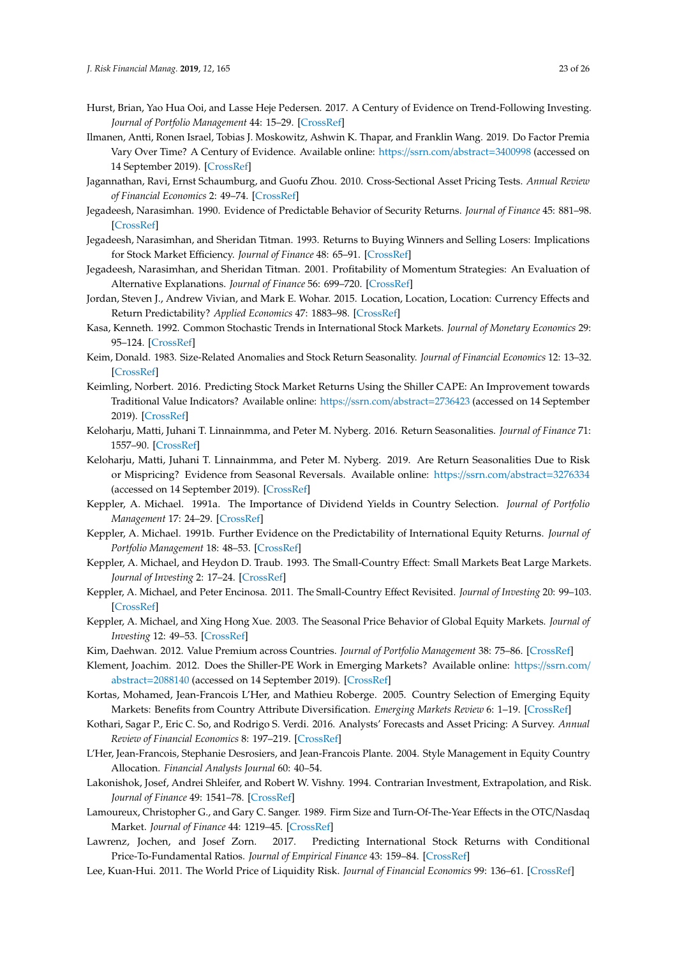- <span id="page-22-2"></span>Hurst, Brian, Yao Hua Ooi, and Lasse Heje Pedersen. 2017. A Century of Evidence on Trend-Following Investing. *Journal of Portfolio Management* 44: 15–29. [\[CrossRef\]](http://dx.doi.org/10.3905/jpm.2017.44.1.015)
- <span id="page-22-3"></span>Ilmanen, Antti, Ronen Israel, Tobias J. Moskowitz, Ashwin K. Thapar, and Franklin Wang. 2019. Do Factor Premia Vary Over Time? A Century of Evidence. Available online: https://[ssrn.com](https://ssrn.com/abstract=3400998)/abstract=3400998 (accessed on 14 September 2019). [\[CrossRef\]](http://dx.doi.org/10.2139/ssrn.3400998)
- <span id="page-22-0"></span>Jagannathan, Ravi, Ernst Schaumburg, and Guofu Zhou. 2010. Cross-Sectional Asset Pricing Tests. *Annual Review of Financial Economics* 2: 49–74. [\[CrossRef\]](http://dx.doi.org/10.1146/annurev-financial-120209-133954)
- <span id="page-22-17"></span>Jegadeesh, Narasimhan. 1990. Evidence of Predictable Behavior of Security Returns. *Journal of Finance* 45: 881–98. [\[CrossRef\]](http://dx.doi.org/10.1111/j.1540-6261.1990.tb05110.x)
- <span id="page-22-14"></span>Jegadeesh, Narasimhan, and Sheridan Titman. 1993. Returns to Buying Winners and Selling Losers: Implications for Stock Market Efficiency. *Journal of Finance* 48: 65–91. [\[CrossRef\]](http://dx.doi.org/10.1111/j.1540-6261.1993.tb04702.x)
- <span id="page-22-15"></span>Jegadeesh, Narasimhan, and Sheridan Titman. 2001. Profitability of Momentum Strategies: An Evaluation of Alternative Explanations. *Journal of Finance* 56: 699–720. [\[CrossRef\]](http://dx.doi.org/10.1111/0022-1082.00342)
- <span id="page-22-12"></span>Jordan, Steven J., Andrew Vivian, and Mark E. Wohar. 2015. Location, Location, Location: Currency Effects and Return Predictability? *Applied Economics* 47: 1883–98. [\[CrossRef\]](http://dx.doi.org/10.1080/00036846.2014.1000537)
- <span id="page-22-4"></span>Kasa, Kenneth. 1992. Common Stochastic Trends in International Stock Markets. *Journal of Monetary Economics* 29: 95–124. [\[CrossRef\]](http://dx.doi.org/10.1016/0304-3932(92)90025-W)
- <span id="page-22-19"></span>Keim, Donald. 1983. Size-Related Anomalies and Stock Return Seasonality. *Journal of Financial Economics* 12: 13–32. [\[CrossRef\]](http://dx.doi.org/10.1016/0304-405X(83)90025-9)
- <span id="page-22-5"></span>Keimling, Norbert. 2016. Predicting Stock Market Returns Using the Shiller CAPE: An Improvement towards Traditional Value Indicators? Available online: https://[ssrn.com](https://ssrn.com/abstract=2736423)/abstract=2736423 (accessed on 14 September 2019). [\[CrossRef\]](http://dx.doi.org/10.2139/ssrn.2736423)
- <span id="page-22-7"></span>Keloharju, Matti, Juhani T. Linnainmma, and Peter M. Nyberg. 2016. Return Seasonalities. *Journal of Finance* 71: 1557–90. [\[CrossRef\]](http://dx.doi.org/10.1111/jofi.12398)
- <span id="page-22-6"></span>Keloharju, Matti, Juhani T. Linnainmma, and Peter M. Nyberg. 2019. Are Return Seasonalities Due to Risk or Mispricing? Evidence from Seasonal Reversals. Available online: https://[ssrn.com](https://ssrn.com/abstract=3276334)/abstract=3276334 (accessed on 14 September 2019). [\[CrossRef\]](http://dx.doi.org/10.2139/ssrn.3276334)
- <span id="page-22-1"></span>Keppler, A. Michael. 1991a. The Importance of Dividend Yields in Country Selection. *Journal of Portfolio Management* 17: 24–29. [\[CrossRef\]](http://dx.doi.org/10.3905/jpm.1991.409327)
- <span id="page-22-8"></span>Keppler, A. Michael. 1991b. Further Evidence on the Predictability of International Equity Returns. *Journal of Portfolio Management* 18: 48–53. [\[CrossRef\]](http://dx.doi.org/10.3905/jpm.1991.409385)
- <span id="page-22-18"></span>Keppler, A. Michael, and Heydon D. Traub. 1993. The Small-Country Effect: Small Markets Beat Large Markets. *Journal of Investing* 2: 17–24. [\[CrossRef\]](http://dx.doi.org/10.3905/joi.2.3.17)
- <span id="page-22-11"></span>Keppler, A. Michael, and Peter Encinosa. 2011. The Small-Country Effect Revisited. *Journal of Investing* 20: 99–103. [\[CrossRef\]](http://dx.doi.org/10.3905/joi.2011.20.4.099)
- <span id="page-22-23"></span>Keppler, A. Michael, and Xing Hong Xue. 2003. The Seasonal Price Behavior of Global Equity Markets. *Journal of Investing* 12: 49–53. [\[CrossRef\]](http://dx.doi.org/10.3905/joi.2003.319567)
- <span id="page-22-22"></span>Kim, Daehwan. 2012. Value Premium across Countries. *Journal of Portfolio Management* 38: 75–86. [\[CrossRef\]](http://dx.doi.org/10.3905/jpm.2012.38.4.075)
- <span id="page-22-21"></span>Klement, Joachim. 2012. Does the Shiller-PE Work in Emerging Markets? Available online: https://[ssrn.com](https://ssrn.com/abstract=2088140)/ abstract=[2088140](https://ssrn.com/abstract=2088140) (accessed on 14 September 2019). [\[CrossRef\]](http://dx.doi.org/10.2139/ssrn.2088140)
- <span id="page-22-9"></span>Kortas, Mohamed, Jean-Francois L'Her, and Mathieu Roberge. 2005. Country Selection of Emerging Equity Markets: Benefits from Country Attribute Diversification. *Emerging Markets Review* 6: 1–19. [\[CrossRef\]](http://dx.doi.org/10.1016/j.ememar.2004.09.002)
- <span id="page-22-25"></span>Kothari, Sagar P., Eric C. So, and Rodrigo S. Verdi. 2016. Analysts' Forecasts and Asset Pricing: A Survey. *Annual Review of Financial Economics* 8: 197–219. [\[CrossRef\]](http://dx.doi.org/10.1146/annurev-financial-121415-032930)
- <span id="page-22-10"></span>L'Her, Jean-Francois, Stephanie Desrosiers, and Jean-Francois Plante. 2004. Style Management in Equity Country Allocation. *Financial Analysts Journal* 60: 40–54.
- <span id="page-22-16"></span>Lakonishok, Josef, Andrei Shleifer, and Robert W. Vishny. 1994. Contrarian Investment, Extrapolation, and Risk. *Journal of Finance* 49: 1541–78. [\[CrossRef\]](http://dx.doi.org/10.1111/j.1540-6261.1994.tb04772.x)
- <span id="page-22-20"></span>Lamoureux, Christopher G., and Gary C. Sanger. 1989. Firm Size and Turn-Of-The-Year Effects in the OTC/Nasdaq Market. *Journal of Finance* 44: 1219–45. [\[CrossRef\]](http://dx.doi.org/10.1111/j.1540-6261.1989.tb02651.x)
- <span id="page-22-13"></span>Lawrenz, Jochen, and Josef Zorn. 2017. Predicting International Stock Returns with Conditional Price-To-Fundamental Ratios. *Journal of Empirical Finance* 43: 159–84. [\[CrossRef\]](http://dx.doi.org/10.1016/j.jempfin.2017.06.003)
- <span id="page-22-24"></span>Lee, Kuan-Hui. 2011. The World Price of Liquidity Risk. *Journal of Financial Economics* 99: 136–61. [\[CrossRef\]](http://dx.doi.org/10.1016/j.jfineco.2010.08.003)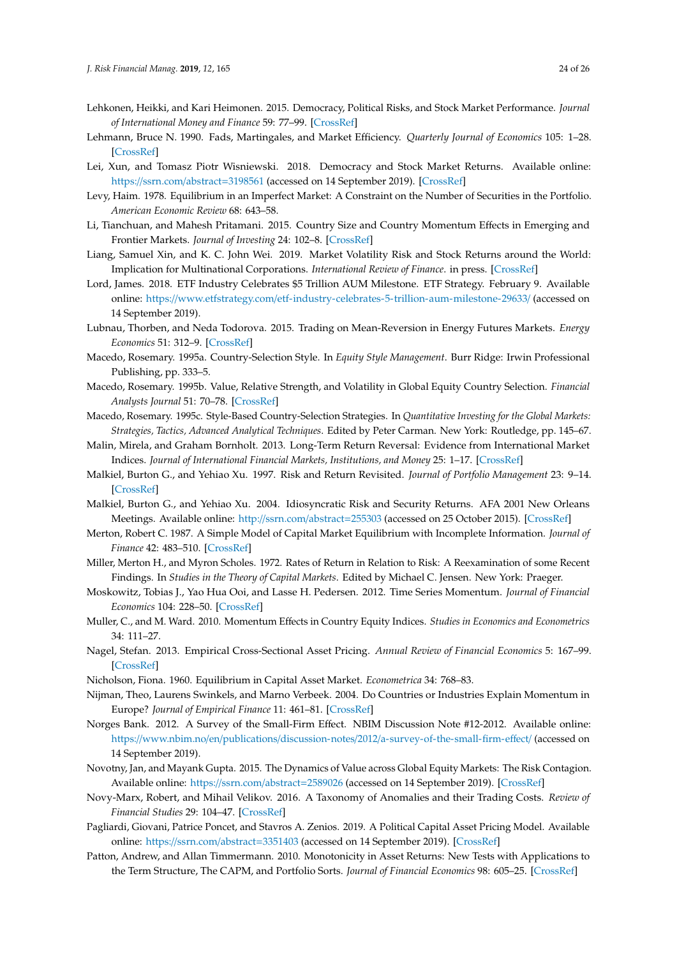- <span id="page-23-22"></span>Lehkonen, Heikki, and Kari Heimonen. 2015. Democracy, Political Risks, and Stock Market Performance. *Journal of International Money and Finance* 59: 77–99. [\[CrossRef\]](http://dx.doi.org/10.1016/j.jimonfin.2015.06.002)
- <span id="page-23-11"></span>Lehmann, Bruce N. 1990. Fads, Martingales, and Market Efficiency. *Quarterly Journal of Economics* 105: 1–28. [\[CrossRef\]](http://dx.doi.org/10.2307/2937816)
- <span id="page-23-24"></span>Lei, Xun, and Tomasz Piotr Wisniewski. 2018. Democracy and Stock Market Returns. Available online: https://[ssrn.com](https://ssrn.com/abstract=3198561)/abstract=3198561 (accessed on 14 September 2019). [\[CrossRef\]](http://dx.doi.org/10.2139/ssrn.3198561)
- <span id="page-23-17"></span>Levy, Haim. 1978. Equilibrium in an Imperfect Market: A Constraint on the Number of Securities in the Portfolio. *American Economic Review* 68: 643–58.
- <span id="page-23-12"></span>Li, Tianchuan, and Mahesh Pritamani. 2015. Country Size and Country Momentum Effects in Emerging and Frontier Markets. *Journal of Investing* 24: 102–8. [\[CrossRef\]](http://dx.doi.org/10.3905/joi.2015.24.1.102)
- <span id="page-23-21"></span>Liang, Samuel Xin, and K. C. John Wei. 2019. Market Volatility Risk and Stock Returns around the World: Implication for Multinational Corporations. *International Review of Finance*. in press. [\[CrossRef\]](http://dx.doi.org/10.1111/irfi.12252)
- <span id="page-23-0"></span>Lord, James. 2018. ETF Industry Celebrates \$5 Trillion AUM Milestone. ETF Strategy. February 9. Available online: https://www.etfstrategy.com/[etf-industry-celebrates-5-trillion-aum-milestone-29633](https://www.etfstrategy.com/etf-industry-celebrates-5-trillion-aum-milestone-29633/)/ (accessed on 14 September 2019).
- <span id="page-23-15"></span>Lubnau, Thorben, and Neda Todorova. 2015. Trading on Mean-Reversion in Energy Futures Markets. *Energy Economics* 51: 312–9. [\[CrossRef\]](http://dx.doi.org/10.1016/j.eneco.2015.06.018)
- <span id="page-23-8"></span>Macedo, Rosemary. 1995a. Country-Selection Style. In *Equity Style Management*. Burr Ridge: Irwin Professional Publishing, pp. 333–5.
- <span id="page-23-9"></span>Macedo, Rosemary. 1995b. Value, Relative Strength, and Volatility in Global Equity Country Selection. *Financial Analysts Journal* 51: 70–78. [\[CrossRef\]](http://dx.doi.org/10.2469/faj.v51.n2.1883)
- <span id="page-23-2"></span>Macedo, Rosemary. 1995c. Style-Based Country-Selection Strategies. In *Quantitative Investing for the Global Markets: Strategies, Tactics, Advanced Analytical Techniques*. Edited by Peter Carman. New York: Routledge, pp. 145–67.
- <span id="page-23-3"></span>Malin, Mirela, and Graham Bornholt. 2013. Long-Term Return Reversal: Evidence from International Market Indices. *Journal of International Financial Markets, Institutions, and Money* 25: 1–17. [\[CrossRef\]](http://dx.doi.org/10.1016/j.intfin.2013.01.002)
- <span id="page-23-19"></span>Malkiel, Burton G., and Yehiao Xu. 1997. Risk and Return Revisited. *Journal of Portfolio Management* 23: 9–14. [\[CrossRef\]](http://dx.doi.org/10.3905/jpm.1997.409608)
- <span id="page-23-20"></span>Malkiel, Burton G., and Yehiao Xu. 2004. Idiosyncratic Risk and Security Returns. AFA 2001 New Orleans Meetings. Available online: http://[ssrn.com](http://ssrn.com/abstract=255303)/abstract=255303 (accessed on 25 October 2015). [\[CrossRef\]](http://dx.doi.org/10.2139/ssrn.255303)
- <span id="page-23-18"></span>Merton, Robert C. 1987. A Simple Model of Capital Market Equilibrium with Incomplete Information. *Journal of Finance* 42: 483–510. [\[CrossRef\]](http://dx.doi.org/10.1111/j.1540-6261.1987.tb04565.x)
- <span id="page-23-16"></span>Miller, Merton H., and Myron Scholes. 1972. Rates of Return in Relation to Risk: A Reexamination of some Recent Findings. In *Studies in the Theory of Capital Markets*. Edited by Michael C. Jensen. New York: Praeger.
- <span id="page-23-4"></span>Moskowitz, Tobias J., Yao Hua Ooi, and Lasse H. Pedersen. 2012. Time Series Momentum. *Journal of Financial Economics* 104: 228–50. [\[CrossRef\]](http://dx.doi.org/10.1016/j.jfineco.2011.11.003)
- <span id="page-23-5"></span>Muller, C., and M. Ward. 2010. Momentum Effects in Country Equity Indices. *Studies in Economics and Econometrics* 34: 111–27.
- <span id="page-23-1"></span>Nagel, Stefan. 2013. Empirical Cross-Sectional Asset Pricing. *Annual Review of Financial Economics* 5: 167–99. [\[CrossRef\]](http://dx.doi.org/10.1146/annurev-financial-110112-121009)
- <span id="page-23-14"></span>Nicholson, Fiona. 1960. Equilibrium in Capital Asset Market. *Econometrica* 34: 768–83.
- <span id="page-23-10"></span>Nijman, Theo, Laurens Swinkels, and Marno Verbeek. 2004. Do Countries or Industries Explain Momentum in Europe? *Journal of Empirical Finance* 11: 461–81. [\[CrossRef\]](http://dx.doi.org/10.1016/j.jempfin.2004.02.001)
- <span id="page-23-13"></span>Norges Bank. 2012. A Survey of the Small-Firm Effect. NBIM Discussion Note #12-2012. Available online: https://www.nbim.no/en/publications/discussion-notes/2012/[a-survey-of-the-small-firm-e](https://www.nbim.no/en/publications/discussion-notes/2012/a-survey-of-the-small-firm-effect/)ffect/ (accessed on 14 September 2019).
- <span id="page-23-6"></span>Novotny, Jan, and Mayank Gupta. 2015. The Dynamics of Value across Global Equity Markets: The Risk Contagion. Available online: https://[ssrn.com](https://ssrn.com/abstract=2589026)/abstract=2589026 (accessed on 14 September 2019). [\[CrossRef\]](http://dx.doi.org/10.2139/ssrn.2589026)
- <span id="page-23-25"></span>Novy-Marx, Robert, and Mihail Velikov. 2016. A Taxonomy of Anomalies and their Trading Costs. *Review of Financial Studies* 29: 104–47. [\[CrossRef\]](http://dx.doi.org/10.1093/rfs/hhv063)
- <span id="page-23-23"></span>Pagliardi, Giovani, Patrice Poncet, and Stavros A. Zenios. 2019. A Political Capital Asset Pricing Model. Available online: https://[ssrn.com](https://ssrn.com/abstract=3351403)/abstract=3351403 (accessed on 14 September 2019). [\[CrossRef\]](http://dx.doi.org/10.2139/ssrn.3351403)
- <span id="page-23-7"></span>Patton, Andrew, and Allan Timmermann. 2010. Monotonicity in Asset Returns: New Tests with Applications to the Term Structure, The CAPM, and Portfolio Sorts. *Journal of Financial Economics* 98: 605–25. [\[CrossRef\]](http://dx.doi.org/10.1016/j.jfineco.2010.06.006)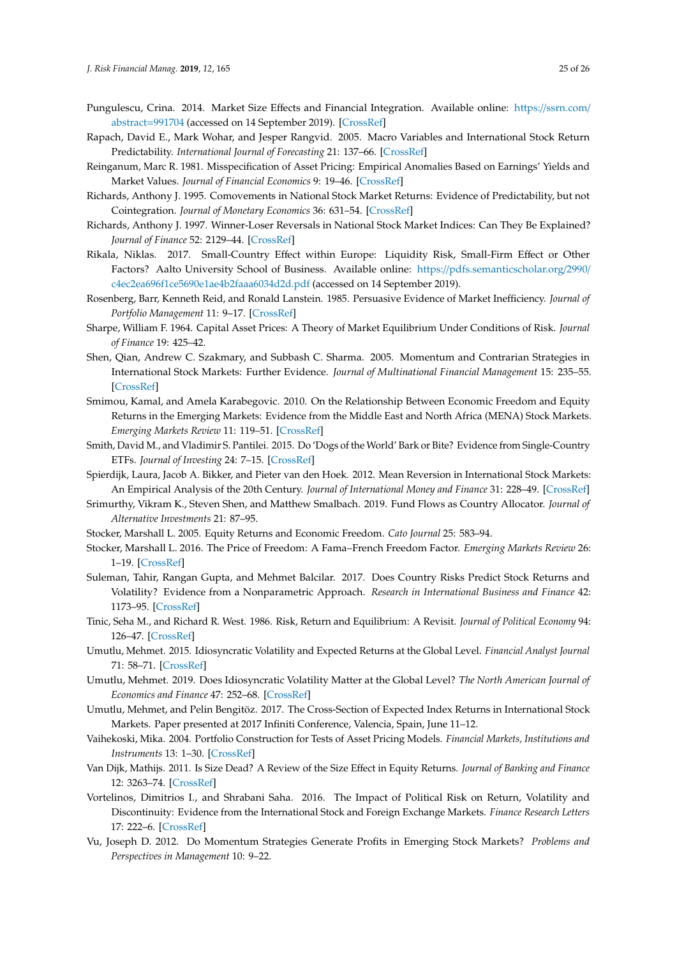- <span id="page-24-2"></span>Pungulescu, Crina. 2014. Market Size Effects and Financial Integration. Available online: https://[ssrn.com](https://ssrn.com/abstract=991704)/ [abstract](https://ssrn.com/abstract=991704)=991704 (accessed on 14 September 2019). [\[CrossRef\]](http://dx.doi.org/10.2139/ssrn.991704)
- <span id="page-24-20"></span>Rapach, David E., Mark Wohar, and Jesper Rangvid. 2005. Macro Variables and International Stock Return Predictability. *International Journal of Forecasting* 21: 137–66. [\[CrossRef\]](http://dx.doi.org/10.1016/j.ijforecast.2004.05.004)
- <span id="page-24-15"></span>Reinganum, Marc R. 1981. Misspecification of Asset Pricing: Empirical Anomalies Based on Earnings' Yields and Market Values. *Journal of Financial Economics* 9: 19–46. [\[CrossRef\]](http://dx.doi.org/10.1016/0304-405X(81)90019-2)
- <span id="page-24-0"></span>Richards, Anthony J. 1995. Comovements in National Stock Market Returns: Evidence of Predictability, but not Cointegration. *Journal of Monetary Economics* 36: 631–54. [\[CrossRef\]](http://dx.doi.org/10.1016/0304-3932(95)01225-7)
- <span id="page-24-3"></span>Richards, Anthony J. 1997. Winner-Loser Reversals in National Stock Market Indices: Can They Be Explained? *Journal of Finance* 52: 2129–44. [\[CrossRef\]](http://dx.doi.org/10.1111/j.1540-6261.1997.tb02755.x)
- <span id="page-24-4"></span>Rikala, Niklas. 2017. Small-Country Effect within Europe: Liquidity Risk, Small-Firm Effect or Other Factors? Aalto University School of Business. Available online: https://[pdfs.semanticscholar.org](https://pdfs.semanticscholar.org/2990/c4ec2ea696f1ce5690e1ae4b2faaa6034d2d.pdf)/2990/ [c4ec2ea696f1ce5690e1ae4b2faaa6034d2d.pdf](https://pdfs.semanticscholar.org/2990/c4ec2ea696f1ce5690e1ae4b2faaa6034d2d.pdf) (accessed on 14 September 2019).
- <span id="page-24-14"></span>Rosenberg, Barr, Kenneth Reid, and Ronald Lanstein. 1985. Persuasive Evidence of Market Inefficiency. *Journal of Portfolio Management* 11: 9–17. [\[CrossRef\]](http://dx.doi.org/10.3905/jpm.1985.409007)
- <span id="page-24-16"></span>Sharpe, William F. 1964. Capital Asset Prices: A Theory of Market Equilibrium Under Conditions of Risk. *Journal of Finance* 19: 425–42.
- <span id="page-24-13"></span>Shen, Qian, Andrew C. Szakmary, and Subbash C. Sharma. 2005. Momentum and Contrarian Strategies in International Stock Markets: Further Evidence. *Journal of Multinational Financial Management* 15: 235–55. [\[CrossRef\]](http://dx.doi.org/10.1016/j.mulfin.2004.09.001)
- <span id="page-24-23"></span>Smimou, Kamal, and Amela Karabegovic. 2010. On the Relationship Between Economic Freedom and Equity Returns in the Emerging Markets: Evidence from the Middle East and North Africa (MENA) Stock Markets. *Emerging Markets Review* 11: 119–51. [\[CrossRef\]](http://dx.doi.org/10.1016/j.ememar.2010.01.003)
- <span id="page-24-5"></span>Smith, David M., and Vladimir S. Pantilei. 2015. Do 'Dogs of the World' Bark or Bite? Evidence from Single-Country ETFs. *Journal of Investing* 24: 7–15. [\[CrossRef\]](http://dx.doi.org/10.3905/joi.2015.24.1.007)
- <span id="page-24-6"></span>Spierdijk, Laura, Jacob A. Bikker, and Pieter van den Hoek. 2012. Mean Reversion in International Stock Markets: An Empirical Analysis of the 20th Century. *Journal of International Money and Finance* 31: 228–49. [\[CrossRef\]](http://dx.doi.org/10.1016/j.jimonfin.2011.11.008)
- <span id="page-24-21"></span>Srimurthy, Vikram K., Steven Shen, and Matthew Smalbach. 2019. Fund Flows as Country Allocator. *Journal of Alternative Investments* 21: 87–95.
- <span id="page-24-22"></span><span id="page-24-10"></span>Stocker, Marshall L. 2005. Equity Returns and Economic Freedom. *Cato Journal* 25: 583–94.
- Stocker, Marshall L. 2016. The Price of Freedom: A Fama–French Freedom Factor. *Emerging Markets Review* 26: 1–19. [\[CrossRef\]](http://dx.doi.org/10.1016/j.ememar.2016.02.004)
- <span id="page-24-1"></span>Suleman, Tahir, Rangan Gupta, and Mehmet Balcilar. 2017. Does Country Risks Predict Stock Returns and Volatility? Evidence from a Nonparametric Approach. *Research in International Business and Finance* 42: 1173–95. [\[CrossRef\]](http://dx.doi.org/10.1016/j.ribaf.2017.07.055)
- <span id="page-24-17"></span>Tinic, Seha M., and Richard R. West. 1986. Risk, Return and Equilibrium: A Revisit. *Journal of Political Economy* 94: 126–47. [\[CrossRef\]](http://dx.doi.org/10.1086/261365)
- <span id="page-24-8"></span>Umutlu, Mehmet. 2015. Idiosyncratic Volatility and Expected Returns at the Global Level. *Financial Analyst Journal* 71: 58–71. [\[CrossRef\]](http://dx.doi.org/10.2469/faj.v71.n6.5)
- <span id="page-24-9"></span>Umutlu, Mehmet. 2019. Does Idiosyncratic Volatility Matter at the Global Level? *The North American Journal of Economics and Finance* 47: 252–68. [\[CrossRef\]](http://dx.doi.org/10.1016/j.najef.2018.12.015)
- <span id="page-24-18"></span>Umutlu, Mehmet, and Pelin Bengitöz. 2017. The Cross-Section of Expected Index Returns in International Stock Markets. Paper presented at 2017 Infiniti Conference, Valencia, Spain, June 11–12.
- <span id="page-24-11"></span>Vaihekoski, Mika. 2004. Portfolio Construction for Tests of Asset Pricing Models. *Financial Markets, Institutions and Instruments* 13: 1–30. [\[CrossRef\]](http://dx.doi.org/10.1111/j.0963-8008.2004.0001.x)
- <span id="page-24-12"></span>Van Dijk, Mathijs. 2011. Is Size Dead? A Review of the Size Effect in Equity Returns. *Journal of Banking and Finance* 12: 3263–74. [\[CrossRef\]](http://dx.doi.org/10.1016/j.jbankfin.2011.05.009)
- <span id="page-24-19"></span>Vortelinos, Dimitrios I., and Shrabani Saha. 2016. The Impact of Political Risk on Return, Volatility and Discontinuity: Evidence from the International Stock and Foreign Exchange Markets. *Finance Research Letters* 17: 222–6. [\[CrossRef\]](http://dx.doi.org/10.1016/j.frl.2016.03.017)
- <span id="page-24-7"></span>Vu, Joseph D. 2012. Do Momentum Strategies Generate Profits in Emerging Stock Markets? *Problems and Perspectives in Management* 10: 9–22.